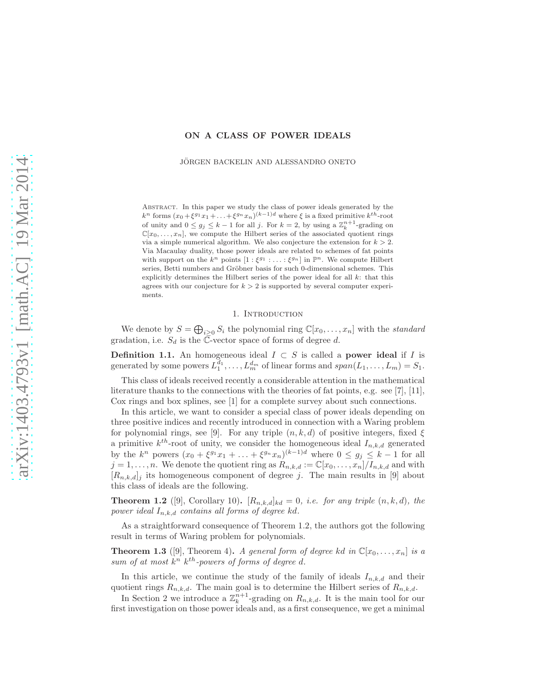## ON A CLASS OF POWER IDEALS

JÖRGEN BACKELIN AND ALESSANDRO ONETO

ABSTRACT. In this paper we study the class of power ideals generated by the  $k^n$  forms  $(x_0 + \xi^{g_1} x_1 + \ldots + \xi^{g_n} x_n)^{(k-1)d}$  where  $\xi$  is a fixed primitive  $k^{th}$ -root of unity and  $0 \le g_j \le k-1$  for all j. For  $k=2$ , by using a  $\mathbb{Z}_k^{n+1}$ -grading on  $\mathbb{C}[x_0,\ldots,x_n]$ , we compute the Hilbert series of the associated quotient rings via a simple numerical algorithm. We also conjecture the extension for  $k > 2$ . Via Macaulay duality, those power ideals are related to schemes of fat points with support on the  $k^n$  points  $[1:\xi^{g_1}:\ldots:\xi^{g_n}]$  in  $\mathbb{P}^n$ . We compute Hilbert series, Betti numbers and Gröbner basis for such 0-dimensional schemes. This explicitly determines the Hilbert series of the power ideal for all  $k$ : that this agrees with our conjecture for  $k > 2$  is supported by several computer experiments.

## 1. Introduction

We denote by  $S = \bigoplus_{i \geq 0} S_i$  the polynomial ring  $\mathbb{C}[x_0, \ldots, x_n]$  with the *standard* gradation, i.e.  $S_d$  is the  $\overline{\mathbb{C}}$ -vector space of forms of degree d.

**Definition 1.1.** An homogeneous ideal  $I \subset S$  is called a **power ideal** if I is generated by some powers  $L_1^{d_1}, \ldots, L_m^{d_m}$  of linear forms and  $span(L_1, \ldots, L_m) = S_1$ .

This class of ideals received recently a considerable attention in the mathematical literature thanks to the connections with the theories of fat points, e.g. see [7], [11], Cox rings and box splines, see [1] for a complete survey about such connections.

In this article, we want to consider a special class of power ideals depending on three positive indices and recently introduced in connection with a Waring problem for polynomial rings, see [9]. For any triple  $(n, k, d)$  of positive integers, fixed  $\xi$ a primitive  $k^{th}$ -root of unity, we consider the homogeneous ideal  $I_{n,k,d}$  generated by the  $k^n$  powers  $(x_0 + \xi^{g_1} x_1 + \ldots + \xi^{g_n} x_n)^{(k-1)d}$  where  $0 \le g_j \le k-1$  for all  $j = 1, \ldots, n$ . We denote the quotient ring as  $R_{n,k,d} := \mathbb{C}[x_0, \ldots, x_n]/I_{n,k,d}$  and with  $[R_{n,k,d}]_j$  its homogeneous component of degree j. The main results in [9] about this class of ideals are the following.

**Theorem 1.2** ([9], Corollary 10).  $[R_{n,k,d}]_{kd} = 0$ , *i.e. for any triple*  $(n, k, d)$ *, the power ideal*  $I_{n,k,d}$  *contains all forms of degree kd.* 

As a straightforward consequence of Theorem 1.2, the authors got the following result in terms of Waring problem for polynomials.

**Theorem 1.3** ([9], Theorem 4). A general form of degree kd in  $\mathbb{C}[x_0, \ldots, x_n]$  is a sum of at most  $k^n$   $k^{th}$ -powers of forms of degree d.

In this article, we continue the study of the family of ideals  $I_{n,k,d}$  and their quotient rings  $R_{n,k,d}$ . The main goal is to determine the Hilbert series of  $R_{n,k,d}$ .

In Section 2 we introduce a  $\mathbb{Z}_k^{n+1}$ -grading on  $R_{n,k,d}$ . It is the main tool for our first investigation on those power ideals and, as a first consequence, we get a minimal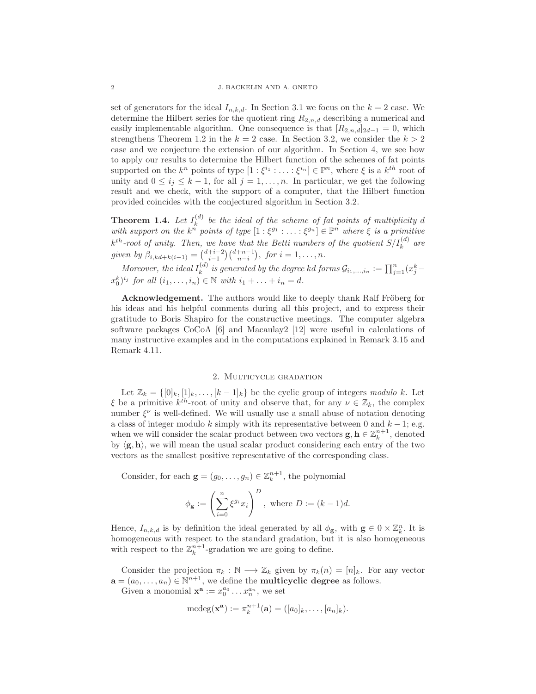set of generators for the ideal  $I_{n,k,d}$ . In Section 3.1 we focus on the  $k = 2$  case. We determine the Hilbert series for the quotient ring  $R_{2,n,d}$  describing a numerical and easily implementable algorithm. One consequence is that  $[R_{2,n,d}]_{2d-1} = 0$ , which strengthens Theorem 1.2 in the  $k = 2$  case. In Section 3.2, we consider the  $k > 2$ case and we conjecture the extension of our algorithm. In Section 4, we see how to apply our results to determine the Hilbert function of the schemes of fat points supported on the  $k^n$  points of type  $[1:\xi^{i_1}:\ldots:\xi^{i_n}]\in\mathbb{P}^n$ , where  $\xi$  is a  $k^{th}$  root of unity and  $0 \leq i_j \leq k-1$ , for all  $j = 1, ..., n$ . In particular, we get the following result and we check, with the support of a computer, that the Hilbert function provided coincides with the conjectured algorithm in Section 3.2.

**Theorem 1.4.** Let  $I_k^{(d)}$  be the ideal of the scheme of fat points of multiplicity d with support on the  $k^{\tilde{n}}$  points of type  $[1:\xi^{g_1}:\ldots:\xi^{g_n}]\in\mathbb{P}^n$  where  $\xi$  is a primitive  $k^{th}$ -root of unity. Then, we have that the Betti numbers of the quotient  $S/I_k^{(d)}$  are *given by*  $\beta_{i,kd+k(i-1)} = \binom{d+i-2}{i-1} \binom{d+n-1}{n-i}, \text{ for } i = 1, \ldots, n.$ 

*Moreover, the ideal*  $I_k^{(d)}$  *is generated by the degree kd forms*  $\mathcal{G}_{i_1,...,i_n} := \prod_{j=1}^n (x_j^k - x_j^k)$  $(x_0^k)^{i_j}$  for all  $(i_1, ..., i_n) \in \mathbb{N}$  with  $i_1 + ... + i_n = d$ .

**Acknowledgement.** The authors would like to deeply thank Ralf Fröberg for his ideas and his helpful comments during all this project, and to express their gratitude to Boris Shapiro for the constructive meetings. The computer algebra software packages CoCoA [6] and Macaulay2 [12] were useful in calculations of many instructive examples and in the computations explained in Remark 3.15 and Remark 4.11.

## 2. Multicycle gradation

Let  $\mathbb{Z}_k = \{ [0]_k, [1]_k, \ldots, [k-1]_k \}$  be the cyclic group of integers *modulo* k. Let  $\xi$  be a primitive  $k^{th}$ -root of unity and observe that, for any  $\nu \in \mathbb{Z}_k$ , the complex number  $\xi^{\nu}$  is well-defined. We will usually use a small abuse of notation denoting a class of integer modulo k simply with its representative between 0 and  $k - 1$ ; e.g. when we will consider the scalar product between two vectors  $\mathbf{g}, \mathbf{h} \in \mathbb{Z}_k^{n+1}$ , denoted by  $\langle g, h \rangle$ , we will mean the usual scalar product considering each entry of the two vectors as the smallest positive representative of the corresponding class.

Consider, for each  $\mathbf{g} = (g_0, \dots, g_n) \in \mathbb{Z}_k^{n+1}$ , the polynomial

$$
\phi_{\mathbf{g}} := \left(\sum_{i=0}^{n} \xi^{g_i} x_i\right)^D, \text{ where } D := (k-1)d.
$$

Hence,  $I_{n,k,d}$  is by definition the ideal generated by all  $\phi_{\mathbf{g}}$ , with  $\mathbf{g} \in 0 \times \mathbb{Z}_k^n$ . It is homogeneous with respect to the standard gradation, but it is also homogeneous with respect to the  $\mathbb{Z}_k^{n+1}$ -gradation we are going to define.

Consider the projection  $\pi_k : \mathbb{N} \longrightarrow \mathbb{Z}_k$  given by  $\pi_k(n) = [n]_k$ . For any vector  $\mathbf{a} = (a_0, \dots, a_n) \in \mathbb{N}^{n+1}$ , we define the **multicyclic degree** as follows.

Given a monomial  $\mathbf{x}^{\mathbf{a}} := x_0^{a_0} \dots x_n^{a_n}$ , we set

$$
\mathrm{mcdeg}(\mathbf{x}^{\mathbf{a}}):=\pi_k^{n+1}(\mathbf{a})=([a_0]_k,\ldots,[a_n]_k).
$$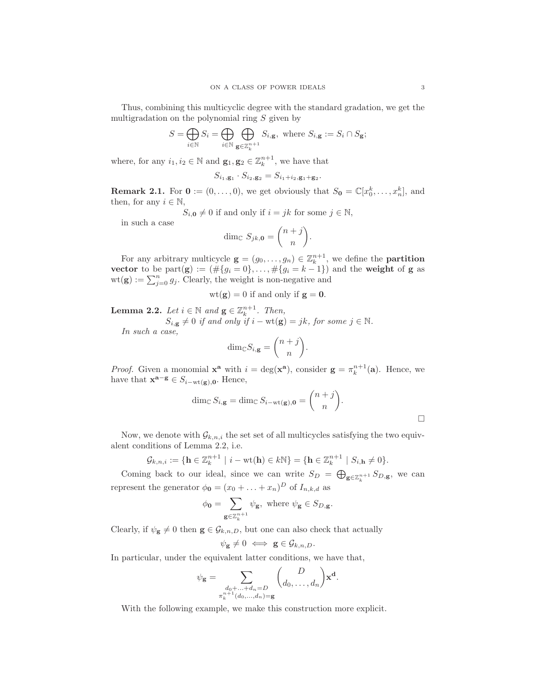Thus, combining this multicyclic degree with the standard gradation, we get the multigradation on the polynomial ring  $S$  given by

$$
S = \bigoplus_{i \in \mathbb{N}} S_i = \bigoplus_{i \in \mathbb{N}} \bigoplus_{\mathbf{g} \in \mathbb{Z}_k^{n+1}} S_{i,\mathbf{g}}, \text{ where } S_{i,\mathbf{g}} := S_i \cap S_{\mathbf{g}};
$$

where, for any  $i_1, i_2 \in \mathbb{N}$  and  $\mathbf{g}_1, \mathbf{g}_2 \in \mathbb{Z}_k^{n+1}$ , we have that

$$
S_{i_1,\mathbf{g}_1} \cdot S_{i_2,\mathbf{g}_2} = S_{i_1+i_2,\mathbf{g}_1+\mathbf{g}_2}.
$$

**Remark 2.1.** For  $\mathbf{0} := (0, \ldots, 0)$ , we get obviously that  $S_{\mathbf{0}} = \mathbb{C}[x_0^k, \ldots, x_n^k]$ , and then, for any  $i \in \mathbb{N}$ ,

 $S_{i,\mathbf{0}} \neq 0$  if and only if  $i = jk$  for some  $j \in \mathbb{N}$ ,

in such a case

$$
\dim_{\mathbb{C}} S_{jk,0} = \binom{n+j}{n}.
$$

For any arbitrary multicycle  $\mathbf{g} = (g_0, \dots, g_n) \in \mathbb{Z}_k^{n+1}$ , we define the **partition** vector to be part(g) :=  $(\#\{g_i = 0\}, \ldots, \#\{g_i = k-1\})$  and the weight of g as  $wt(\mathbf{g}) := \sum_{j=0}^{n} g_j$ . Clearly, the weight is non-negative and

$$
wt(g) = 0
$$
 if and only if  $g = 0$ .

**Lemma 2.2.** *Let*  $i \in \mathbb{N}$  *and*  $\mathbf{g} \in \mathbb{Z}_k^{n+1}$ *. Then,* 

$$
S_{i,\mathbf{g}} \neq 0 \text{ if and only if } i - \text{wt}(\mathbf{g}) = jk, \text{ for some } j \in \mathbb{N}.
$$

*In such a case,*

$$
\dim_{\mathbb{C}} S_{i,\mathbf{g}} = \binom{n+j}{n}.
$$

*Proof.* Given a monomial  $\mathbf{x}^{\mathbf{a}}$  with  $i = \deg(\mathbf{x}^{\mathbf{a}})$ , consider  $\mathbf{g} = \pi_k^{n+1}(\mathbf{a})$ . Hence, we have that  $\mathbf{x}^{\mathbf{a}-\mathbf{g}} \in S_{i-\text{wt}(\mathbf{g}),\mathbf{0}}$ . Hence,

$$
\dim_{\mathbb{C}} S_{i,\mathbf{g}} = \dim_{\mathbb{C}} S_{i-\text{wt}(\mathbf{g}),\mathbf{0}} = \binom{n+j}{n}.
$$

Now, we denote with  $\mathcal{G}_{k,n,i}$  the set set of all multicycles satisfying the two equivalent conditions of Lemma 2.2, i.e.

$$
\mathcal{G}_{k,n,i} := \{ \mathbf{h} \in \mathbb{Z}_k^{n+1} \mid i - \text{wt}(\mathbf{h}) \in k\mathbb{N} \} = \{ \mathbf{h} \in \mathbb{Z}_k^{n+1} \mid S_{i,\mathbf{h}} \neq 0 \}.
$$

Coming back to our ideal, since we can write  $S_D = \bigoplus_{g \in \mathbb{Z}_k^{n+1}} S_{D,g}$ , we can represent the generator  $\phi_{\mathbf{0}} = (x_0 + \ldots + x_n)^D$  of  $I_{n,k,d}$  as

$$
\phi_{\mathbf{0}} = \sum_{\mathbf{g} \in \mathbb{Z}_k^{n+1}} \psi_{\mathbf{g}}, \text{ where } \psi_{\mathbf{g}} \in S_{D, \mathbf{g}}.
$$

Clearly, if  $\psi_{\mathbf{g}} \neq 0$  then  $\mathbf{g} \in \mathcal{G}_{k,n,D}$ , but one can also check that actually

$$
\psi_{\mathbf{g}} \neq 0 \iff \mathbf{g} \in \mathcal{G}_{k,n,D}.
$$

In particular, under the equivalent latter conditions, we have that,

$$
\psi_{\mathbf{g}} = \sum_{\substack{d_0 + \ldots + d_n = D \\ \pi_k^{n+1}(d_0, \ldots, d_n) = \mathbf{g}}} \binom{D}{d_0, \ldots, d_n} \mathbf{x}^{\mathbf{d}}.
$$

With the following example, we make this construction more explicit.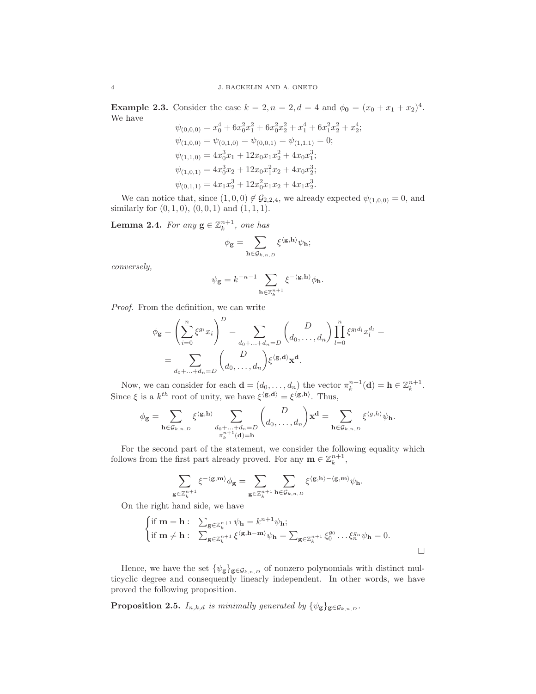**Example 2.3.** Consider the case  $k = 2, n = 2, d = 4$  and  $\phi_0 = (x_0 + x_1 + x_2)^4$ . We have  $\overline{4}$ 

$$
\psi_{(0,0,0)} = x_0^4 + 6x_0^2x_1^2 + 6x_0^2x_2^2 + x_1^4 + 6x_1^2x_2^2 + x_2^4;
$$
  
\n
$$
\psi_{(1,0,0)} = \psi_{(0,1,0)} = \psi_{(0,0,1)} = \psi_{(1,1,1)} = 0;
$$
  
\n
$$
\psi_{(1,1,0)} = 4x_0^3x_1 + 12x_0x_1x_2^2 + 4x_0x_1^3;
$$
  
\n
$$
\psi_{(1,0,1)} = 4x_0^3x_2 + 12x_0x_1^2x_2 + 4x_0x_2^3;
$$
  
\n
$$
\psi_{(0,1,1)} = 4x_1x_2^3 + 12x_0^2x_1x_2 + 4x_1x_2^3.
$$

We can notice that, since  $(1,0,0) \notin \mathcal{G}_{2,2,4}$ , we already expected  $\psi_{(1,0,0)} = 0$ , and similarly for  $(0, 1, 0)$ ,  $(0, 0, 1)$  and  $(1, 1, 1)$ .

**Lemma 2.4.** For any  $\mathbf{g} \in \mathbb{Z}_k^{n+1}$ , one has

$$
\phi_{\bf g}=\sum_{{\bf h}\in\mathcal{G}_{k,n,D}}\xi^{\langle{\bf g},{\bf h}\rangle}\psi_{\bf h};
$$

*conversely,*

$$
\psi_{\mathbf{g}} = k^{-n-1} \sum_{\mathbf{h} \in \mathbb{Z}_k^{n+1}} \xi^{-\langle \mathbf{g},\mathbf{h}\rangle} \phi_{\mathbf{h}}.
$$

*Proof.* From the definition, we can write

$$
\phi_{\mathbf{g}} = \left(\sum_{i=0}^{n} \xi^{g_i} x_i\right)^D = \sum_{d_0 + \dots + d_n = D} \binom{D}{d_0, \dots, d_n} \prod_{l=0}^{n} \xi^{g_l d_l} x_l^{d_l} =
$$

$$
= \sum_{d_0 + \dots + d_n = D} \binom{D}{d_0, \dots, d_n} \xi^{\langle \mathbf{g}, \mathbf{d} \rangle} \mathbf{x}^{\mathbf{d}}.
$$

Now, we can consider for each  $\mathbf{d} = (d_0, \dots, d_n)$  the vector  $\pi_k^{n+1}(\mathbf{d}) = \mathbf{h} \in \mathbb{Z}_k^{n+1}$ . Since  $\xi$  is a  $k^{th}$  root of unity, we have  $\xi^{\langle g, \mathbf{d} \rangle} = \xi^{\langle g, \mathbf{h} \rangle}$ . Thus,

$$
\phi_{\mathbf{g}} = \sum_{\mathbf{h} \in \mathcal{G}_{k,n,D}} \xi^{\langle \mathbf{g}, \mathbf{h} \rangle} \sum_{\substack{d_0 + \ldots + d_n = D \\ \pi_k^{n+1}(\mathbf{d}) = \mathbf{h}}} \binom{D}{d_0, \ldots, d_n} \mathbf{x}^{\mathbf{d}} = \sum_{\mathbf{h} \in \mathcal{G}_{k,n,D}} \xi^{\langle g, h \rangle} \psi_{\mathbf{h}}.
$$

For the second part of the statement, we consider the following equality which follows from the first part already proved. For any  $\mathbf{m} \in \mathbb{Z}_k^{n+1}$ ,

$$
\sum_{\mathbf{g}\in\mathbb{Z}_k^{n+1}}\xi^{-\langle\mathbf{g},\mathbf{m}\rangle}\phi_{\mathbf{g}}=\sum_{\mathbf{g}\in\mathbb{Z}_k^{n+1}}\sum_{\mathbf{h}\in\mathcal{G}_{k,n,\mathit{D}}}\xi^{\langle\mathbf{g},\mathbf{h}\rangle-\langle\mathbf{g},\mathbf{m}\rangle}\psi_{\mathbf{h}}.
$$

On the right hand side, we have

$$
\begin{cases}\n\text{if } \mathbf{m} = \mathbf{h}: \quad \sum_{\mathbf{g} \in \mathbb{Z}_k^{n+1}} \psi_{\mathbf{h}} = k^{n+1} \psi_{\mathbf{h}}; \\
\text{if } \mathbf{m} \neq \mathbf{h}: \quad \sum_{\mathbf{g} \in \mathbb{Z}_k^{n+1}} \xi^{\langle \mathbf{g}, \mathbf{h} - \mathbf{m} \rangle} \psi_{\mathbf{h}} = \sum_{\mathbf{g} \in \mathbb{Z}_k^{n+1}} \xi_0^{g_0} \dots \xi_n^{g_n} \psi_{\mathbf{h}} = 0.\n\end{cases}
$$

Hence, we have the set  $\{\psi_{\mathbf{g}}\}_{\mathbf{g}\in\mathcal{G}_{k,n,D}}$  of nonzero polynomials with distinct multicyclic degree and consequently linearly independent. In other words, we have proved the following proposition.

**Proposition 2.5.**  $I_{n,k,d}$  *is minimally generated by*  $\{\psi_{g}\}_{g \in \mathcal{G}_{k,n,D}}$ *.*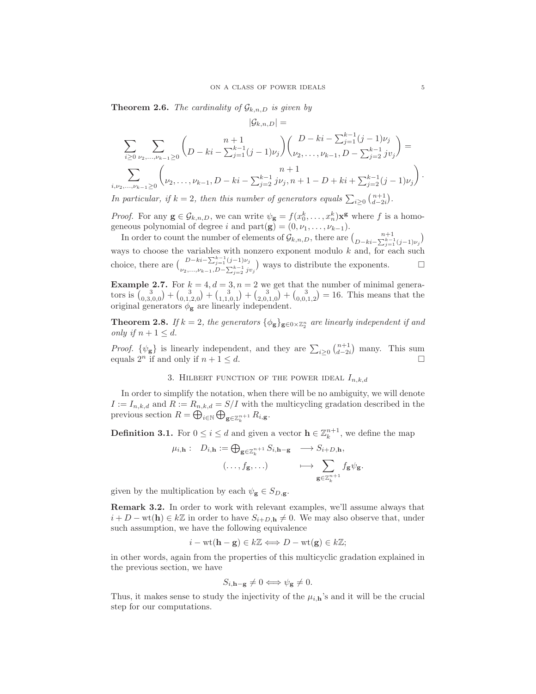$|\mathcal{G}_{k,n,D}| =$ 

**Theorem 2.6.** *The cardinality of*  $\mathcal{G}_{k,n,D}$  *is given by* 

$$
\sum_{i\geq 0} \sum_{\nu_2,\dots,\nu_{k-1}\geq 0} {n+1 \choose D-ki-\sum_{j=1}^{k-1} (j-1)\nu_j} {D-ki-\sum_{j=1}^{k-1} (j-1)\nu_j \choose \nu_2,\dots,\nu_{k-1}, D-\sum_{j=2}^{k-1} j\nu_j} =
$$
  

$$
\sum_{i,\nu_2,\dots,\nu_{k-1}\geq 0} {n+1 \choose \nu_2,\dots,\nu_{k-1}, D-ki-\sum_{j=2}^{k-1} j\nu_j, n+1-D+ki+\sum_{j=2}^{k-1} (j-1)\nu_j}.
$$

*In particular, if*  $k = 2$ *, then this number of generators equals*  $\sum_{i \geq 0} {n+1 \choose d-2i}$ *.* 

*Proof.* For any  $\mathbf{g} \in \mathcal{G}_{k,n,D}$ , we can write  $\psi_{\mathbf{g}} = f(x_0^k, \dots, x_n^k) \mathbf{x}^{\mathbf{g}}$  where f is a homogeneous polynomial of degree i and part $(g) = (0, \nu_1, \dots, \nu_{k-1}).$ 

In order to count the number of elements of  $\mathcal{G}_{k,n,D}$ , there are  $\binom{n+1}{D-ki-\sum_{j=1}^{k-1}(j-1)\nu_j}$ ways to choose the variables with nonzero exponent modulo  $k$  and, for each such choice, there are  $\left( \frac{D-ki-\sum_{j=1}^{k-1} (j-1)\nu_j}{\sum_{j=1}^{k-1} (j-1)\nu_j} \right)$  $D-k_i-\sum_{j=1}^{n} (j-1)\nu_j$  ways to distribute the exponents. □

**Example 2.7.** For  $k = 4, d = 3, n = 2$  we get that the number of minimal generators is  $\binom{3}{0,3,0,0} + \binom{3}{0,1,2,0} + \binom{3}{1,1,0,1} + \binom{3}{2,0,1,0} + \binom{3}{0,0,1,2} = 16$ . This means that the original generators  $\phi_{\mathbf{g}}$  are linearly independent.

**Theorem 2.8.** If  $k = 2$ , the generators  $\{\phi_{\mathbf{g}}\}_{\mathbf{g}\in\{0\times\mathbb{Z}_2^n\}}$  are linearly independent if and *only* if  $n + 1 \leq d$ .

*Proof.*  $\{\psi_{g}\}\$ is linearly independent, and they are  $\sum_{i\geq 0} {n+1 \choose d-2i}$  many. This sum equals  $2^n$  if and only if  $n + 1 \leq d$ .

3. HILBERT FUNCTION OF THE POWER IDEAL  $I_{n,k,d}$ 

In order to simplify the notation, when there will be no ambiguity, we will denote  $I := I_{n,k,d}$  and  $R := R_{n,k,d} = S/I$  with the multicycling gradation described in the previous section  $R = \bigoplus_{i \in \mathbb{N}} \bigoplus_{\mathbf{g} \in \mathbb{Z}_k^{n+1}} R_{i,\mathbf{g}}$ .

**Definition 3.1.** For  $0 \le i \le d$  and given a vector  $\mathbf{h} \in \mathbb{Z}_k^{n+1}$ , we define the map

$$
\mu_{i,\mathbf{h}}: D_{i,\mathbf{h}} := \bigoplus_{\mathbf{g} \in \mathbb{Z}_k^{n+1}} S_{i,\mathbf{h}-\mathbf{g}} \longrightarrow S_{i+D,\mathbf{h}},
$$

$$
(\ldots, f_{\mathbf{g}}, \ldots) \longrightarrow \sum_{\mathbf{g} \in \mathbb{Z}_k^{n+1}} f_{\mathbf{g}} \psi_{\mathbf{g}}.
$$

given by the multiplication by each  $\psi_{\mathbf{g}} \in S_{D,\mathbf{g}}$ .

Remark 3.2. In order to work with relevant examples, we'll assume always that  $i + D - \text{wt}(\mathbf{h}) \in k\mathbb{Z}$  in order to have  $S_{i+D,\mathbf{h}} \neq 0$ . We may also observe that, under such assumption, we have the following equivalence

$$
i - \text{wt}(\mathbf{h} - \mathbf{g}) \in k\mathbb{Z} \Longleftrightarrow D - \text{wt}(\mathbf{g}) \in k\mathbb{Z};
$$

in other words, again from the properties of this multicyclic gradation explained in the previous section, we have

$$
S_{i,\mathbf{h}-\mathbf{g}} \neq 0 \Longleftrightarrow \psi_{\mathbf{g}} \neq 0.
$$

Thus, it makes sense to study the injectivity of the  $\mu_{i,h}$ 's and it will be the crucial step for our computations.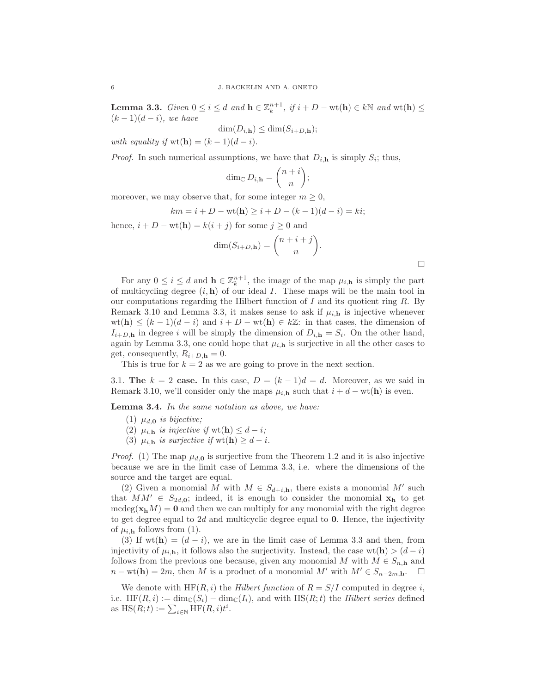**Lemma 3.3.** *Given*  $0 \le i \le d$  *and*  $\mathbf{h} \in \mathbb{Z}_k^{n+1}$ *, if*  $i + D - \text{wt}(\mathbf{h}) \in k\mathbb{N}$  *and*  $\text{wt}(\mathbf{h}) \le$  $(k-1)(d-i)$ *, we have* 

$$
\dim(D_{i,\mathbf{h}}) \le \dim(S_{i+D,\mathbf{h}});
$$

*with equality if*  $wt(h) = (k-1)(d-i)$ .

*Proof.* In such numerical assumptions, we have that  $D_{i,h}$  is simply  $S_i$ ; thus,

$$
\dim_{\mathbb{C}} D_{i,\mathbf{h}} = \binom{n+i}{n};
$$

moreover, we may observe that, for some integer  $m \geq 0$ ,

$$
km = i + D - wt(h) \ge i + D - (k - 1)(d - i) = ki;
$$

hence,  $i + D - \text{wt}(\mathbf{h}) = k(i + j)$  for some  $j \ge 0$  and

$$
\dim(S_{i+D,\mathbf{h}}) = \binom{n+i+j}{n}.
$$

 $\Box$ 

For any  $0 \leq i \leq d$  and  $\mathbf{h} \in \mathbb{Z}_k^{n+1}$ , the image of the map  $\mu_{i,\mathbf{h}}$  is simply the part of multicycling degree  $(i, h)$  of our ideal I. These maps will be the main tool in our computations regarding the Hilbert function of  $I$  and its quotient ring  $R$ . By Remark 3.10 and Lemma 3.3, it makes sense to ask if  $\mu_{i,h}$  is injective whenever  $wt(\mathbf{h}) \leq (k-1)(d-i)$  and  $i+D - wt(\mathbf{h}) \in k\mathbb{Z}$ : in that cases, the dimension of  $I_{i+D,h}$  in degree i will be simply the dimension of  $D_{i,h} = S_i$ . On the other hand, again by Lemma 3.3, one could hope that  $\mu_{i,h}$  is surjective in all the other cases to get, consequently,  $R_{i+D,\mathbf{h}} = 0$ .

This is true for  $k = 2$  as we are going to prove in the next section.

3.1. The  $k = 2$  case. In this case,  $D = (k-1)d = d$ . Moreover, as we said in Remark 3.10, we'll consider only the maps  $\mu_{i,h}$  such that  $i + d - \text{wt(h)}$  is even.

Lemma 3.4. *In the same notation as above, we have:*

- (1)  $\mu_{d,0}$  *is bijective*;
- (2)  $\mu_{i, \mathbf{h}}$  *is injective if* wt(**h**)  $\leq d i$ ;
- (3)  $\mu_{i, \mathbf{h}}$  *is surjective if* wt(**h**)  $\geq d i$ *.*

*Proof.* (1) The map  $\mu_{d,0}$  is surjective from the Theorem 1.2 and it is also injective because we are in the limit case of Lemma 3.3, i.e. where the dimensions of the source and the target are equal.

(2) Given a monomial M with  $M \in S_{d+i, h}$ , there exists a monomial M' such that  $MM' \in S_{2d,\mathbf{0}}$ ; indeed, it is enough to consider the monomial  $\mathbf{x_h}$  to get  $\text{mdeg}(\mathbf{x}_h M) = \mathbf{0}$  and then we can multiply for any monomial with the right degree to get degree equal to  $2d$  and multicyclic degree equal to  $0$ . Hence, the injectivity of  $\mu_{i,h}$  follows from (1).

(3) If wt(h) =  $(d - i)$ , we are in the limit case of Lemma 3.3 and then, from injectivity of  $\mu_{i,h}$ , it follows also the surjectivity. Instead, the case wt(**h**) >  $(d-i)$ follows from the previous one because, given any monomial M with  $M \in S_{n,\mathbf{h}}$  and  $n - \text{wt}(\mathbf{h}) = 2m$ , then M is a product of a monomial M' with  $M' \in S_{n-2m,\mathbf{h}}$ .  $\square$ 

We denote with  $HF(R, i)$  the *Hilbert function* of  $R = S/I$  computed in degree i, i.e.  $HF(R, i) := \dim_{\mathbb{C}}(S_i) - \dim_{\mathbb{C}}(I_i)$ , and with  $HS(R, t)$  the *Hilbert series* defined as  $\text{HS}(R; t) := \sum_{i \in \mathbb{N}} \text{HF}(R, i) t^i$ .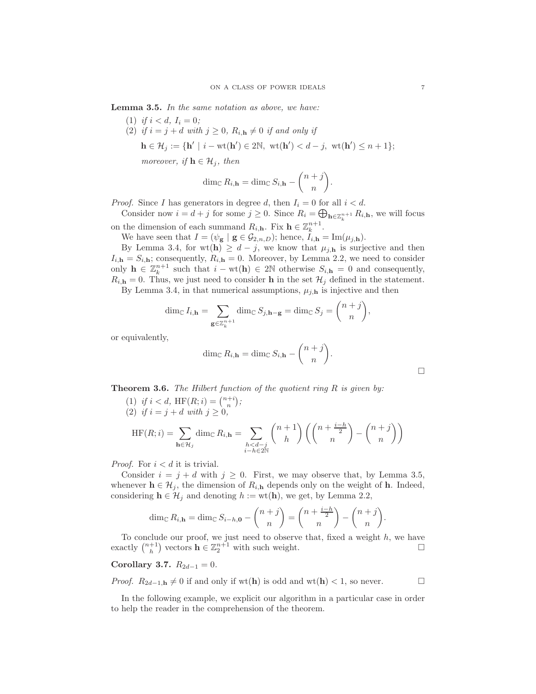Lemma 3.5. *In the same notation as above, we have:*

- (1) *if*  $i < d$ ,  $I_i = 0$ ;
- (2) *if*  $i = j + d$  *with*  $j \geq 0$ ,  $R_{i,h} \neq 0$  *if and only if* 
	- $\mathbf{h} \in \mathcal{H}_j := \{ \mathbf{h}' \mid i \text{wt}(\mathbf{h}') \in 2\mathbb{N}, \ \text{wt}(\mathbf{h}') < d j, \ \text{wt}(\mathbf{h}') \leq n + 1 \};$

*moreover, if*  $\mathbf{h} \in \mathcal{H}_i$ *, then* 

$$
\dim_{\mathbb{C}} R_{i,\mathbf{h}} = \dim_{\mathbb{C}} S_{i,\mathbf{h}} - \binom{n+j}{n}.
$$

*Proof.* Since I has generators in degree d, then  $I_i = 0$  for all  $i < d$ .

Consider now  $i = d + j$  for some  $j \ge 0$ . Since  $R_i = \bigoplus_{\mathbf{h} \in \mathbb{Z}_k^{n+1}} R_{i,\mathbf{h}}$ , we will focus on the dimension of each summand  $R_{i, h}$ . Fix  $h \in \mathbb{Z}_k^{n+1}$ .

We have seen that  $I = (\psi_{\mathbf{g}} | \mathbf{g} \in \mathcal{G}_{2,n,D})$ ; hence,  $I_{i,\mathbf{h}} = \text{Im}(\mu_{j,\mathbf{h}})$ .

By Lemma 3.4, for wt(h)  $\geq d-j$ , we know that  $\mu_{j,h}$  is surjective and then  $I_{i,h} = S_{i,h}$ ; consequently,  $R_{i,h} = 0$ . Moreover, by Lemma 2.2, we need to consider only  $\mathbf{h} \in \mathbb{Z}_k^{n+1}$  such that  $i - \text{wt}(\mathbf{h}) \in 2\mathbb{N}$  otherwise  $S_{i,\mathbf{h}} = 0$  and consequently,  $R_{i,h} = 0$ . Thus, we just need to consider **h** in the set  $\mathcal{H}_j$  defined in the statement.

By Lemma 3.4, in that numerical assumptions,  $\mu_{j,h}$  is injective and then

$$
\dim_{\mathbb{C}} I_{i,\mathbf{h}} = \sum_{\mathbf{g} \in \mathbb{Z}_k^{n+1}} \dim_{\mathbb{C}} S_{j,\mathbf{h}-\mathbf{g}} = \dim_{\mathbb{C}} S_j = {n+j \choose n},
$$

or equivalently,

$$
\dim_{\mathbb{C}} R_{i,\mathbf{h}} = \dim_{\mathbb{C}} S_{i,\mathbf{h}} - \binom{n+j}{n}.
$$

Theorem 3.6. *The Hilbert function of the quotient ring* R *is given by:*

(1) *if*  $i < d$ ,  $HF(R; i) = \binom{n+i}{n}$ ; (2) *if*  $i = j + d$  *with*  $j \ge 0$ *,* 

$$
HF(R; i) = \sum_{\mathbf{h} \in \mathcal{H}_j} \dim_{\mathbb{C}} R_{i, \mathbf{h}} = \sum_{\substack{h < d - j \\ i - h \in 2\mathbb{N}}} \binom{n+1}{h} \left( \binom{n + \frac{i-h}{2}}{n} - \binom{n+j}{n} \right)
$$

*Proof.* For  $i < d$  it is trivial.

Consider  $i = j + d$  with  $j \ge 0$ . First, we may observe that, by Lemma 3.5, whenever  $\mathbf{h} \in \mathcal{H}_j$ , the dimension of  $R_{i,\mathbf{h}}$  depends only on the weight of **h**. Indeed, considering  $h \in \mathcal{H}_j$  and denoting  $h := \text{wt}(\mathbf{h})$ , we get, by Lemma 2.2,

$$
\dim_{\mathbb{C}} R_{i,\mathbf{h}} = \dim_{\mathbb{C}} S_{i-h,\mathbf{0}} - \binom{n+j}{n} = \binom{n+\frac{i-h}{2}}{n} - \binom{n+j}{n}.
$$

To conclude our proof, we just need to observe that, fixed a weight  $h$ , we have exactly  $\binom{n+1}{h}$  vectors  $\mathbf{h} \in \mathbb{Z}_2^{n+1}$  with such weight.

# Corollary 3.7.  $R_{2d-1} = 0$ .

*Proof.*  $R_{2d-1,h} \neq 0$  if and only if wt(h) is odd and wt(h) < 1, so never.

In the following example, we explicit our algorithm in a particular case in order to help the reader in the comprehension of the theorem.

 $\Box$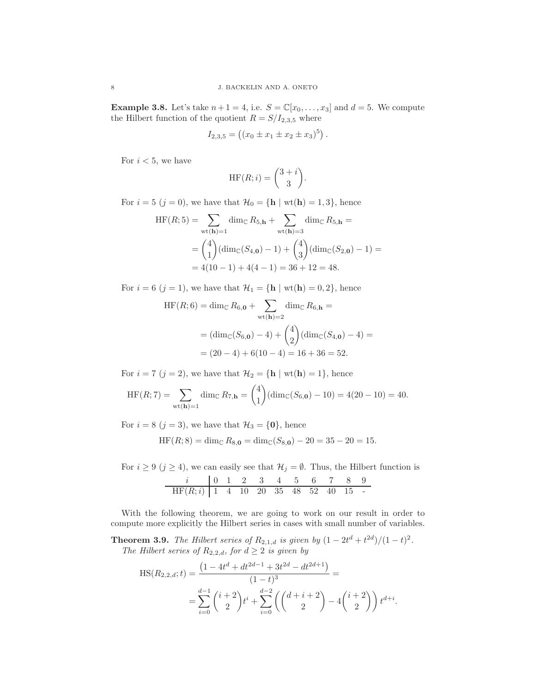**Example 3.8.** Let's take  $n+1=4$ , i.e.  $S = \mathbb{C}[x_0,\ldots,x_3]$  and  $d=5$ . We compute the Hilbert function of the quotient  $R = S/I_{2,3,5}$  where

$$
I_{2,3,5} = ((x_0 \pm x_1 \pm x_2 \pm x_3)^5).
$$

For  $i < 5$ , we have

$$
HF(R; i) = \binom{3+i}{3}.
$$

For  $i = 5$   $(j = 0)$ , we have that  $\mathcal{H}_0 = {\mathbf{h} \mid \text{wt}(\mathbf{h}) = 1, 3}$ , hence

$$
HF(R;5) = \sum_{\text{wt}(\mathbf{h})=1} \dim_{\mathbb{C}} R_{5,\mathbf{h}} + \sum_{\text{wt}(\mathbf{h})=3} \dim_{\mathbb{C}} R_{5,\mathbf{h}} =
$$
  
=  $\binom{4}{1} (\dim_{\mathbb{C}} (S_{4,0}) - 1) + \binom{4}{3} (\dim_{\mathbb{C}} (S_{2,0}) - 1) =$   
=  $4(10 - 1) + 4(4 - 1) = 36 + 12 = 48.$ 

For  $i = 6$   $(j = 1)$ , we have that  $\mathcal{H}_1 = \{\mathbf{h} \mid \text{wt}(\mathbf{h}) = 0, 2\}$ , hence

$$
HF(R;6) = \dim_{\mathbb{C}} R_{6,0} + \sum_{\text{wt}(\mathbf{h})=2} \dim_{\mathbb{C}} R_{6,\mathbf{h}} =
$$
  
=  $(\dim_{\mathbb{C}}(S_{6,0}) - 4) + {4 \choose 2} (\dim_{\mathbb{C}}(S_{4,0}) - 4) =$   
=  $(20 - 4) + 6(10 - 4) = 16 + 36 = 52.$ 

For  $i = 7$   $(j = 2)$ , we have that  $\mathcal{H}_2 = \{\mathbf{h} \mid \text{wt}(\mathbf{h}) = 1\}$ , hence

$$
HF(R;7) = \sum_{\text{wt}(\mathbf{h})=1} \dim_{\mathbb{C}} R_{7,\mathbf{h}} = {4 \choose 1} (\dim_{\mathbb{C}}(S_{6,\mathbf{0}}) - 10) = 4(20 - 10) = 40.
$$

For  $i = 8$   $(j = 3)$ , we have that  $\mathcal{H}_3 = \{0\}$ , hence

$$
HF(R;8) = \dim_{\mathbb{C}} R_{8,\mathbf{0}} = \dim_{\mathbb{C}}(S_{8,\mathbf{0}}) - 20 = 35 - 20 = 15.
$$

For  $i \ge 9$   $(j \ge 4)$ , we can easily see that  $\mathcal{H}_j = \emptyset$ . Thus, the Hilbert function is i 0 1 2 3 4 5 6 7 8 9  $HF(R; i)$  | 1 4 10 20 35 48 52 40 15 -

With the following theorem, we are going to work on our result in order to compute more explicitly the Hilbert series in cases with small number of variables.

**Theorem 3.9.** *The Hilbert series of*  $R_{2,1,d}$  *is given by*  $(1 - 2t^d + t^{2d})/(1 - t)^2$ *. The Hilbert series of*  $R_{2,2,d}$ *, for*  $d \geq 2$  *is given by* 

$$
HS(R_{2,2,d};t) = \frac{\left(1 - 4t^d + dt^{2d-1} + 3t^{2d} - dt^{2d+1}\right)}{(1-t)^3} =
$$
  
= 
$$
\sum_{i=0}^{d-1} {i+2 \choose 2} t^i + \sum_{i=0}^{d-2} \left( {d+i+2 \choose 2} - 4 {i+2 \choose 2} \right) t^{d+i}.
$$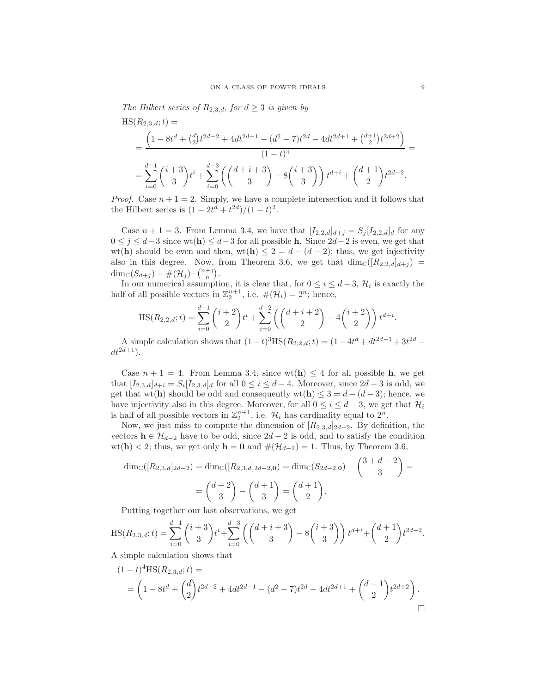*The Hilbert series of*  $R_{2,3,d}$ *, for*  $d \geq 3$  *is given by* 

$$
\begin{split} \text{HS}(R_{2,3,d};t) &= \\ &= \frac{\left(1 - 8t^d + \binom{d}{2}t^{2d-2} + 4dt^{2d-1} - (d^2 - 7)t^{2d} - 4dt^{2d+1} + \binom{d+1}{2}t^{2d+2}\right)}{(1-t)^4} \\ &= \sum_{i=0}^{d-1} \binom{i+3}{3}t^i + \sum_{i=0}^{d-3} \left(\binom{d+i+3}{3} - 8\binom{i+3}{3}\right)t^{d+i} + \binom{d+1}{2}t^{2d-2} .\end{split}
$$

*Proof.* Case  $n + 1 = 2$ . Simply, we have a complete intersection and it follows that the Hilbert series is  $(1 - 2t^d + t^{2d})/(1 - t)^2$ .

Case  $n + 1 = 3$ . From Lemma 3.4, we have that  $[I_{2,2,d}]_{d+j} = S_j [I_{2,2,d}]_d$  for any  $0 \leq j \leq d-3$  since wt(h)  $\leq d-3$  for all possible h. Since  $2d-2$  is even, we get that wt(h) should be even and then, wt(h)  $\leq 2 = d - (d - 2)$ ; thus, we get injectivity also in this degree. Now, from Theorem 3.6, we get that  $\dim_{\mathbb{C}}([R_{2,2,d}]_{d+j}) =$  $\dim_{\mathbb{C}}(S_{d+j}) - \#(\mathcal{H}_j) \cdot {n+j \choose n}.$ 

In our numerical assumption, it is clear that, for  $0 \leq i \leq d-3$ ,  $\mathcal{H}_i$  is exactly the half of all possible vectors in  $\mathbb{Z}_2^{n+1}$ , i.e.  $\#(\mathcal{H}_i) = 2^n$ ; hence,

$$
HS(R_{2,2,d};t) = \sum_{i=0}^{d-1} {i+2 \choose 2} t^i + \sum_{i=0}^{d-2} \left( {d+i+2 \choose 2} - 4 {i+2 \choose 2} \right) t^{d+i}.
$$

A simple calculation shows that  $(1-t)^3$ HS $(R_{2,2,d};t) = (1-4t^d + dt^{2d-1} + 3t^{2d}$  $dt^{2d+1}$ ).

Case  $n + 1 = 4$ . From Lemma 3.4, since wt(h)  $\leq 4$  for all possible h, we get that  $[I_{2,3,d}]_{d+i} = S_i[I_{2,3,d}]_d$  for all  $0 \leq i \leq d-4$ . Moreover, since  $2d-3$  is odd, we get that wt(h) should be odd and consequently wt(h)  $\leq 3 = d - (d - 3)$ ; hence, we have injectivity also in this degree. Moreover, for all  $0 \le i \le d-3$ , we get that  $\mathcal{H}_i$ is half of all possible vectors in  $\mathbb{Z}_2^{n+1}$ , i.e.  $\mathcal{H}_i$  has cardinality equal to  $2^n$ .

Now, we just miss to compute the dimension of  $[R_{2,3,d}]_{2d-2}$ . By definition, the vectors  $h \in \mathcal{H}_{d-2}$  have to be odd, since  $2d-2$  is odd, and to satisfy the condition wt(h) < 2; thus, we get only h = 0 and  $#(\mathcal{H}_{d-2}) = 1$ . Thus, by Theorem 3.6,

$$
\dim_{\mathbb{C}}([R_{2,3,d}]_{2d-2}) = \dim_{\mathbb{C}}([R_{2,3,d}]_{2d-2,0}) = \dim_{\mathbb{C}}(S_{2d-2,0}) - {3+d-2 \choose 3} =
$$
  
=  ${d+2 \choose 3} - {d+1 \choose 3} = {d+1 \choose 2}.$ 

Putting together our last observations, we get

$$
HS(R_{2,3,d}; t) = \sum_{i=0}^{d-1} {i+3 \choose 3} t^i + \sum_{i=0}^{d-3} \left( {d+i+3 \choose 3} - 8 {i+3 \choose 3} \right) t^{d+i} + {d+1 \choose 2} t^{2d-2}
$$

A simple calculation shows that

$$
(1-t)^{4}HS(R_{2,3,d};t) =
$$
  
=  $\left(1 - 8t^{d} + {d \choose 2}t^{2d-2} + 4dt^{2d-1} - (d^{2} - 7)t^{2d} - 4dt^{2d+1} + {d+1 \choose 2}t^{2d+2}\right).$ 

.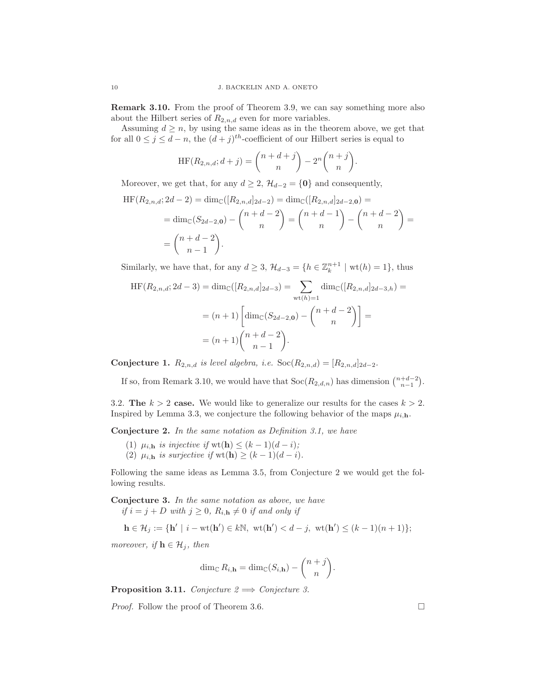Remark 3.10. From the proof of Theorem 3.9, we can say something more also about the Hilbert series of  $R_{2,n,d}$  even for more variables.

Assuming  $d \geq n$ , by using the same ideas as in the theorem above, we get that for all  $0 \leq j \leq d-n$ , the  $(d+j)^{th}$ -coefficient of our Hilbert series is equal to

$$
HF(R_{2,n,d};d+j) = {n+d+j \choose n} - 2^n {n+j \choose n}.
$$

Moreover, we get that, for any  $d \geq 2$ ,  $\mathcal{H}_{d-2} = \{0\}$  and consequently,

$$
\begin{aligned} \n\mathrm{HF}(R_{2,n,d}; 2d-2) &= \dim_{\mathbb{C}}([R_{2,n,d}]_{2d-2}) = \dim_{\mathbb{C}}([R_{2,n,d}]_{2d-2,0}) = \\ \n&= \dim_{\mathbb{C}}(S_{2d-2,0}) - \binom{n+d-2}{n} = \binom{n+d-1}{n} - \binom{n+d-2}{n} = \\ \n&= \binom{n+d-2}{n-1} .\n\end{aligned}
$$

Similarly, we have that, for any  $d \geq 3$ ,  $\mathcal{H}_{d-3} = \{h \in \mathbb{Z}_k^{n+1} \mid \text{wt}(h) = 1\}$ , thus

$$
HF(R_{2,n,d}; 2d-3) = \dim_{\mathbb{C}}([R_{2,n,d}]_{2d-3}) = \sum_{\text{wt}(h)=1} \dim_{\mathbb{C}}([R_{2,n,d}]_{2d-3,h}) =
$$
  
=  $(n+1) \left[ \dim_{\mathbb{C}}(S_{2d-2,0}) - {n+d-2 \choose n} \right] =$   
=  $(n+1){n+d-2 \choose n-1}.$ 

Conjecture 1.  $R_{2,n,d}$  *is level algebra, i.e.*  $Soc(R_{2,n,d}) = [R_{2,n,d}]_{2d-2}$ *.* 

If so, from Remark 3.10, we would have that  $Soc(R_{2,d,n})$  has dimension  $\binom{n+d-2}{n-1}$ .

3.2. The  $k > 2$  case. We would like to generalize our results for the cases  $k > 2$ . Inspired by Lemma 3.3, we conjecture the following behavior of the maps  $\mu_{i,h}$ .

Conjecture 2. *In the same notation as Definition 3.1, we have*

- (1)  $\mu_{i,\mathbf{h}}$  *is injective if*  $\text{wt}(\mathbf{h}) \leq (k-1)(d-i)$ ;
- (2)  $\mu_{i,\mathbf{h}}$  *is surjective if* wt(**h**)  $\geq (k-1)(d-i)$ *.*

Following the same ideas as Lemma 3.5, from Conjecture 2 we would get the following results.

Conjecture 3. *In the same notation as above, we have if*  $i = j + D$  *with*  $j \geq 0$ *,*  $R_{i,h} \neq 0$  *if and only if* 

$$
\mathbf{h} \in \mathcal{H}_j := \{ \mathbf{h}' \mid i - \text{wt}(\mathbf{h}') \in k\mathbb{N}, \ \text{wt}(\mathbf{h}') < d - j, \ \text{wt}(\mathbf{h}') \leq (k - 1)(n + 1) \};
$$

*moreover, if*  $\mathbf{h} \in \mathcal{H}_i$ *, then* 

$$
\dim_{\mathbb{C}} R_{i,\mathbf{h}} = \dim_{\mathbb{C}}(S_{i,\mathbf{h}}) - \binom{n+j}{n}.
$$

**Proposition 3.11.** *Conjecture 2*  $\implies$  *Conjecture 3.* 

*Proof.* Follow the proof of Theorem 3.6. □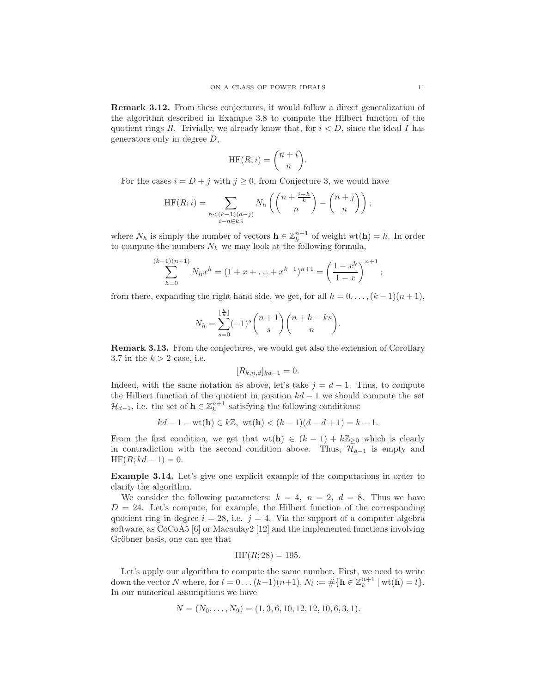Remark 3.12. From these conjectures, it would follow a direct generalization of the algorithm described in Example 3.8 to compute the Hilbert function of the quotient rings R. Trivially, we already know that, for  $i < D$ , since the ideal I has generators only in degree D,

$$
HF(R; i) = \binom{n+i}{n}.
$$

For the cases  $i = D + j$  with  $j \geq 0$ , from Conjecture 3, we would have

$$
HF(R; i) = \sum_{\substack{h < (k-1)(d-j) \\ i-h \in k\mathbb{N}}} N_h \left( \binom{n + \frac{i-h}{k}}{n} - \binom{n+j}{n} \right);
$$

where  $N_h$  is simply the number of vectors  $\mathbf{h} \in \mathbb{Z}_k^{n+1}$  of weight  $\text{wt}(\mathbf{h}) = h$ . In order to compute the numbers  $N_h$  we may look at the following formula,

$$
\sum_{h=0}^{(k-1)(n+1)} N_h x^h = (1 + x + \dots + x^{k-1})^{n+1} = \left(\frac{1 - x^k}{1 - x}\right)^{n+1};
$$

from there, expanding the right hand side, we get, for all  $h = 0, \ldots, (k-1)(n+1)$ ,

 $\mathbf{h}$ 

$$
N_h = \sum_{s=0}^{\lfloor \frac{n}{k} \rfloor} (-1)^s {n+1 \choose s} {n+h-ks \choose n}.
$$

Remark 3.13. From the conjectures, we would get also the extension of Corollary 3.7 in the  $k > 2$  case, i.e.

$$
[R_{k,n,d}]_{kd-1} = 0.
$$

Indeed, with the same notation as above, let's take  $j = d - 1$ . Thus, to compute the Hilbert function of the quotient in position  $kd - 1$  we should compute the set  $\mathcal{H}_{d-1}$ , i.e. the set of  $\mathbf{h} \in \mathbb{Z}_k^{n+1}$  satisfying the following conditions:

$$
kd - 1 - \text{wt}(\mathbf{h}) \in k\mathbb{Z}, \ \text{wt}(\mathbf{h}) < (k - 1)(d - d + 1) = k - 1.
$$

From the first condition, we get that  $wt(h) \in (k-1) + k\mathbb{Z}_{\geq 0}$  which is clearly in contradiction with the second condition above. Thus,  $\mathcal{H}_{d-1}$  is empty and  $HF(R; kd - 1) = 0.$ 

Example 3.14. Let's give one explicit example of the computations in order to clarify the algorithm.

We consider the following parameters:  $k = 4$ ,  $n = 2$ ,  $d = 8$ . Thus we have  $D = 24$ . Let's compute, for example, the Hilbert function of the corresponding quotient ring in degree  $i = 28$ , i.e.  $j = 4$ . Via the support of a computer algebra software, as CoCoA5 [6] or Macaulay2 [12] and the implemented functions involving Gröbner basis, one can see that

$$
HF(R; 28) = 195
$$

Let's apply our algorithm to compute the same number. First, we need to write down the vector N where, for  $l = 0 ... (k-1)(n+1)$ ,  $N_l := #{h \in \mathbb{Z}_k^{n+1} | wt(h) = l}.$ In our numerical assumptions we have

$$
N = (N_0, \ldots, N_9) = (1, 3, 6, 10, 12, 12, 10, 6, 3, 1).
$$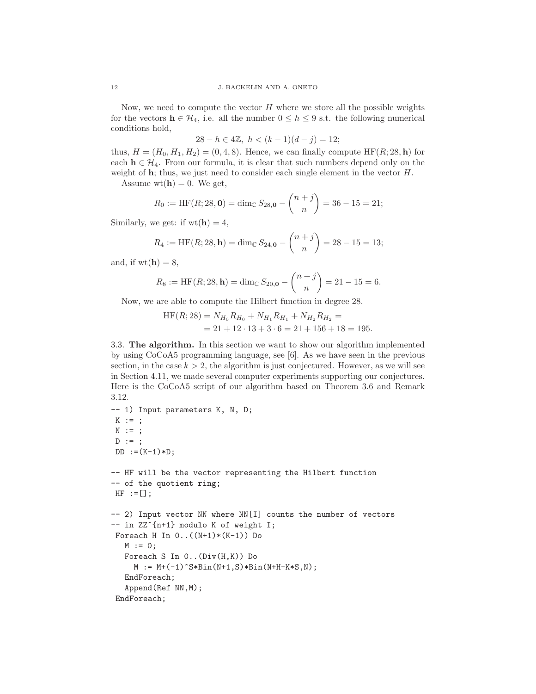Now, we need to compute the vector  $H$  where we store all the possible weights for the vectors  $h \in \mathcal{H}_4$ , i.e. all the number  $0 \leq h \leq 9$  s.t. the following numerical conditions hold,

$$
28 - h \in 4\mathbb{Z}, \ h < (k-1)(d-j) = 12;
$$

thus,  $H = (H_0, H_1, H_2) = (0, 4, 8)$ . Hence, we can finally compute HF(R; 28, h) for each  $h \in \mathcal{H}_4$ . From our formula, it is clear that such numbers depend only on the weight of  $h$ ; thus, we just need to consider each single element in the vector  $H$ .

Assume  $wt(h) = 0$ . We get,

$$
R_0 := \text{HF}(R; 28, \mathbf{0}) = \dim_{\mathbb{C}} S_{28, \mathbf{0}} - \binom{n+j}{n} = 36 - 15 = 21;
$$

Similarly, we get: if  $wt(h) = 4$ ,

$$
R_4 := \text{HF}(R; 28, \mathbf{h}) = \dim_{\mathbb{C}} S_{24, \mathbf{0}} - \binom{n+j}{n} = 28 - 15 = 13;
$$

and, if  $wt(h) = 8$ ,

$$
R_8 := \text{HF}(R; 28, \mathbf{h}) = \dim_{\mathbb{C}} S_{20, \mathbf{0}} - \binom{n+j}{n} = 21 - 15 = 6.
$$

Now, we are able to compute the Hilbert function in degree 28.

$$
HF(R;28) = N_{H_0}R_{H_0} + N_{H_1}R_{H_1} + N_{H_2}R_{H_2} =
$$
  
= 21 + 12 \cdot 13 + 3 \cdot 6 = 21 + 156 + 18 = 195.

3.3. The algorithm. In this section we want to show our algorithm implemented by using CoCoA5 programming language, see [6]. As we have seen in the previous section, in the case  $k > 2$ , the algorithm is just conjectured. However, as we will see in Section 4.11, we made several computer experiments supporting our conjectures. Here is the CoCoA5 script of our algorithm based on Theorem 3.6 and Remark 3.12.

```
-- 1) Input parameters K, N, D;
K := ;\texttt{N} \hspace{2mm} := \hspace{2mm} \texttt{;}D := ;DD := (K-1) * D;-- HF will be the vector representing the Hilbert function
-- of the quotient ring;
HF := [];
-- 2) Input vector NN where NN[I] counts the number of vectors
-- in ZZ^{n+1} modulo K of weight I;
Foreach H In 0..((N+1)*(K-1)) Do
   M := 0;Foreach S In 0..(Div(H,K)) Do
     M := M + (-1)^S * \text{Bin}(N+1,S) * \text{Bin}(N+H-K+S,N);EndForeach;
   Append(Ref NN,M);
 EndForeach;
```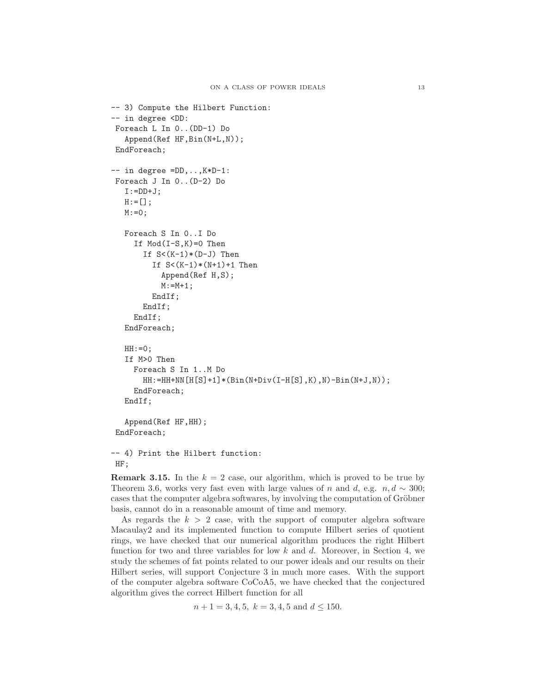```
-- 3) Compute the Hilbert Function:
-- in degree <DD:
Foreach L In 0..(DD-1) Do
   Append(Ref HF,Bin(N+L,N));
EndForeach;
-- in degree =DD,..,K*D-1:
Foreach J In 0..(D-2) Do
   I:=DD+J;H:=[];
  M: = 0;Foreach S In 0..I Do
     If Mod(I-S,K)=0 Then
       If S<(K-1)*(D-J) Then
         If S<(K-1)*(N+1)+1 Then
           Append(Ref H,S);
           M: = M + 1;EndIf;
       EndIf;
     EndIf;
  EndForeach;
  HH:=0;If M>0 Then
     Foreach S In 1..M Do
       HH:=HH+NN[H[S]+1]*(Bin(N+Div(I-H[S],K),N)-Bin(N+J,N));
     EndForeach;
  EndIf;
   Append(Ref HF,HH);
 EndForeach;
-- 4) Print the Hilbert function:
```
HF;

**Remark 3.15.** In the  $k = 2$  case, our algorithm, which is proved to be true by Theorem 3.6, works very fast even with large values of n and d, e.g.  $n, d \sim 300$ ; cases that the computer algebra softwares, by involving the computation of Gröbner basis, cannot do in a reasonable amount of time and memory.

As regards the  $k > 2$  case, with the support of computer algebra software Macaulay2 and its implemented function to compute Hilbert series of quotient rings, we have checked that our numerical algorithm produces the right Hilbert function for two and three variables for low  $k$  and  $d$ . Moreover, in Section 4, we study the schemes of fat points related to our power ideals and our results on their Hilbert series, will support Conjecture 3 in much more cases. With the support of the computer algebra software CoCoA5, we have checked that the conjectured algorithm gives the correct Hilbert function for all

```
n+1=3,4,5, k=3,4,5 \text{ and } d \leq 150.
```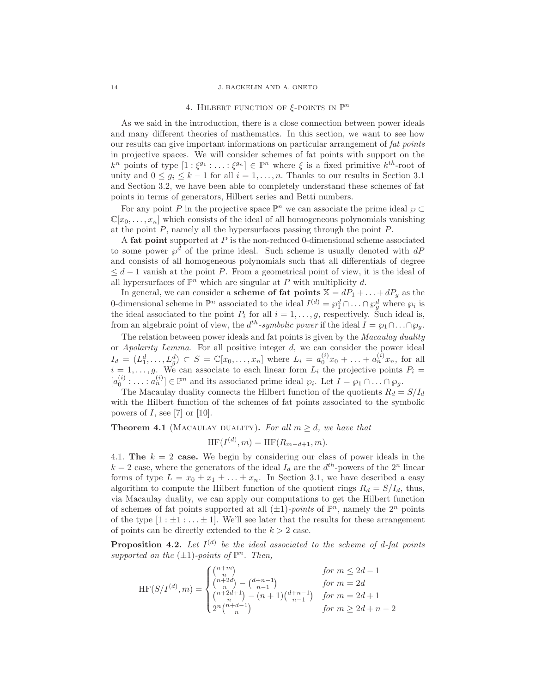#### 14 J. BACKELIN AND A. ONETO

# 4. HILBERT FUNCTION OF  $\xi$ -POINTS IN  $\mathbb{P}^n$

As we said in the introduction, there is a close connection between power ideals and many different theories of mathematics. In this section, we want to see how our results can give important informations on particular arrangement of *fat points* in projective spaces. We will consider schemes of fat points with support on the  $k^n$  points of type  $[1:\xi^{g_1}:\ldots:\xi^{g_n}]\in\mathbb{P}^n$  where  $\xi$  is a fixed primitive  $k^{th}$ -root of unity and  $0 \leq g_i \leq k-1$  for all  $i = 1, \ldots, n$ . Thanks to our results in Section 3.1 and Section 3.2, we have been able to completely understand these schemes of fat points in terms of generators, Hilbert series and Betti numbers.

For any point P in the projective space  $\mathbb{P}^n$  we can associate the prime ideal  $\wp \subset$  $\mathbb{C}[x_0,\ldots,x_n]$  which consists of the ideal of all homogeneous polynomials vanishing at the point P, namely all the hypersurfaces passing through the point P.

A fat point supported at  $P$  is the non-reduced 0-dimensional scheme associated to some power  $\wp^d$  of the prime ideal. Such scheme is usually denoted with  $dP$ and consists of all homogeneous polynomials such that all differentials of degree  $\leq d-1$  vanish at the point P. From a geometrical point of view, it is the ideal of all hypersurfaces of  $\mathbb{P}^n$  which are singular at P with multiplicity d.

In general, we can consider a **scheme of fat points**  $\mathbb{X} = dP_1 + \ldots + dP_g$  as the 0-dimensional scheme in  $\mathbb{P}^n$  associated to the ideal  $I^{(d)} = \wp_1^d \cap \ldots \cap \wp_g^d$  where  $\wp_i$  is the ideal associated to the point  $P_i$  for all  $i = 1, \ldots, g$ , respectively. Such ideal is, from an algebraic point of view, the  $d^{th}$ -symbolic power if the ideal  $I = \wp_1 \cap \ldots \cap \wp_g$ .

The relation between power ideals and fat points is given by the *Macaulay duality* or *Apolarity Lemma*. For all positive integer d, we can consider the power ideal  $I_d = (L_1^d, \ldots, L_g^d) \subset S = \mathbb{C}[x_0, \ldots, x_n]$  where  $L_i = a_0^{(i)} x_0 + \ldots + a_n^{(i)} x_n$ , for all  $i = 1, \ldots, g$ . We can associate to each linear form  $L_i$  the projective points  $P_i =$  $[a_0^{(i)}: \dots : a_n^{(i)}] \in \mathbb{P}^n$  and its associated prime ideal  $\wp_i$ . Let  $I = \wp_1 \cap \dots \cap \wp_g$ .

The Macaulay duality connects the Hilbert function of the quotients  $R_d = S/I_d$ with the Hilbert function of the schemes of fat points associated to the symbolic powers of  $I$ , see [7] or [10].

## **Theorem 4.1** (MACAULAY DUALITY). For all  $m \geq d$ , we have that

$$
HF(I^{(d)}, m) = HF(R_{m-d+1}, m).
$$

4.1. The  $k = 2$  case. We begin by considering our class of power ideals in the  $k = 2$  case, where the generators of the ideal  $I_d$  are the  $d^{th}$ -powers of the  $2^n$  linear forms of type  $L = x_0 \pm x_1 \pm \ldots \pm x_n$ . In Section 3.1, we have described a easy algorithm to compute the Hilbert function of the quotient rings  $R_d = S/I_d$ , thus, via Macaulay duality, we can apply our computations to get the Hilbert function of schemes of fat points supported at all  $(\pm 1)$ *-points* of  $\mathbb{P}^n$ , namely the  $2^n$  points of the type  $[1 : \pm 1 : \ldots \pm 1]$ . We'll see later that the results for these arrangement of points can be directly extended to the  $k > 2$  case.

**Proposition 4.2.** Let  $I^{(d)}$  be the ideal associated to the scheme of d-fat points supported on the  $(\pm 1)$ -points of  $\mathbb{P}^n$ . Then,

$$
\text{HF}(S/I^{(d)}, m) = \begin{cases} {n+m \choose n} & \text{for } m \le 2d-1 \\ {n+2d \choose n} - {d+n-1 \choose n-1} & \text{for } m = 2d \\ {n+2d+1 \choose n} - (n+1){d+n-1 \choose n-1} & \text{for } m = 2d+1 \\ 2^n {n+d-1 \choose n} & \text{for } m \ge 2d+n-2 \end{cases}
$$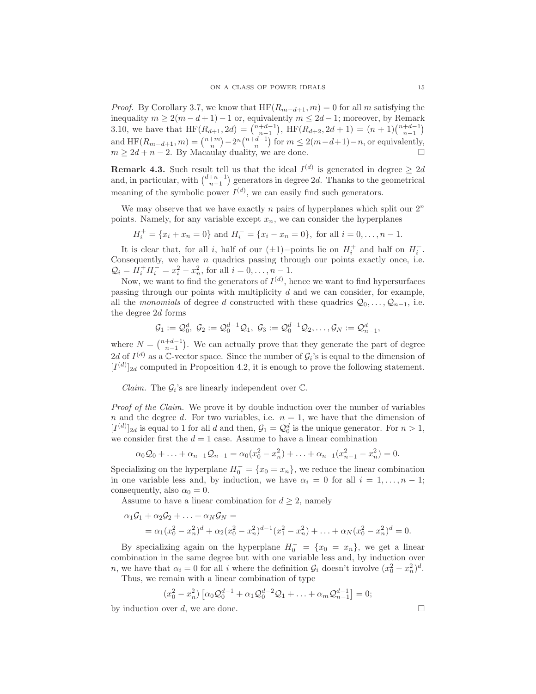*Proof.* By Corollary 3.7, we know that  $HF(R_{m-d+1}, m) = 0$  for all m satisfying the inequality  $m \geq 2(m-d+1)-1$  or, equivalently  $m \leq 2d-1$ ; moreover, by Remark 3.10, we have that  $HF(R_{d+1}, 2d) = {n+d-1 \choose n-1}$ ,  $HF(R_{d+2}, 2d+1) = (n+1){n+d-1 \choose n-1}$ and  $HF(R_{m-d+1}, m) = \binom{n+m}{n} - 2^n \binom{n+d-1}{n}$  for  $m \leq 2(m-d+1)-n$ , or equivalently,  $m \geq 2d + n - 2$ . By Macaulay duality, we are done.

**Remark 4.3.** Such result tell us that the ideal  $I^{(d)}$  is generated in degree  $\geq 2d$ and, in particular, with  $\binom{d+n-1}{n-1}$  generators in degree 2d. Thanks to the geometrical meaning of the symbolic power  $I^{(d)}$ , we can easily find such generators.

We may observe that we have exactly n pairs of hyperplanes which split our  $2^n$ points. Namely, for any variable except  $x_n$ , we can consider the hyperplanes

$$
H_i^+ = \{x_i + x_n = 0\} \text{ and } H_i^- = \{x_i - x_n = 0\}, \text{ for all } i = 0, \dots, n-1.
$$

It is clear that, for all i, half of our  $(\pm 1)$ -points lie on  $H_i^+$  and half on  $H_i^-$ . Consequently, we have  $n$  quadrics passing through our points exactly once, i.e.  $Q_i = H_i^+ H_i^- = x_i^2 - x_n^2$ , for all  $i = 0, ..., n-1$ .

Now, we want to find the generators of  $I^{(d)}$ , hence we want to find hypersurfaces passing through our points with multiplicity d and we can consider, for example, all the *monomials* of degree d constructed with these quadrics  $Q_0, \ldots, Q_{n-1}$ , i.e. the degree 2d forms

$$
\mathcal{G}_1:=\mathcal{Q}_0^d,\ \mathcal{G}_2:=\mathcal{Q}_0^{d-1}\mathcal{Q}_1,\ \mathcal{G}_3:=\mathcal{Q}_0^{d-1}\mathcal{Q}_2,\ldots,\mathcal{G}_N:=\mathcal{Q}_{n-1}^d,
$$

where  $N = \binom{n+d-1}{n-1}$ . We can actually prove that they generate the part of degree 2d of  $I^{(d)}$  as a C-vector space. Since the number of  $\mathcal{G}_i$ 's is equal to the dimension of  $[I<sup>(d)</sup>]_{2d}$  computed in Proposition 4.2, it is enough to prove the following statement.

*Claim.* The  $\mathcal{G}_i$ 's are linearly independent over  $\mathbb{C}$ .

*Proof of the Claim.* We prove it by double induction over the number of variables n and the degree d. For two variables, i.e.  $n = 1$ , we have that the dimension of  $[I^{(d)}]_{2d}$  is equal to 1 for all d and then,  $\mathcal{G}_1 = \mathcal{Q}_0^d$  is the unique generator. For  $n > 1$ , we consider first the  $d = 1$  case. Assume to have a linear combination

$$
\alpha_0 \mathcal{Q}_0 + \ldots + \alpha_{n-1} \mathcal{Q}_{n-1} = \alpha_0 (x_0^2 - x_n^2) + \ldots + \alpha_{n-1} (x_{n-1}^2 - x_n^2) = 0.
$$

Specializing on the hyperplane  $H_0^- = \{x_0 = x_n\}$ , we reduce the linear combination in one variable less and, by induction, we have  $\alpha_i = 0$  for all  $i = 1, \ldots, n-1$ ; consequently, also  $\alpha_0 = 0$ .

Assume to have a linear combination for  $d \geq 2$ , namely

$$
\alpha_1 G_1 + \alpha_2 G_2 + \ldots + \alpha_N G_N =
$$
  
=  $\alpha_1 (x_0^2 - x_n^2)^d + \alpha_2 (x_0^2 - x_n^2)^{d-1} (x_1^2 - x_n^2) + \ldots + \alpha_N (x_0^2 - x_n^2)^d = 0.$ 

By specializing again on the hyperplane  $H_0^- = \{x_0 = x_n\}$ , we get a linear combination in the same degree but with one variable less and, by induction over *n*, we have that  $\alpha_i = 0$  for all *i* where the definition  $\mathcal{G}_i$  doesn't involve  $(x_0^2 - x_n^2)^d$ .

Thus, we remain with a linear combination of type

$$
(x_0^2 - x_n^2) [\alpha_0 \mathcal{Q}_0^{d-1} + \alpha_1 \mathcal{Q}_0^{d-2} \mathcal{Q}_1 + \ldots + \alpha_m \mathcal{Q}_{n-1}^{d-1}] = 0;
$$

by induction over d, we are done.  $\Box$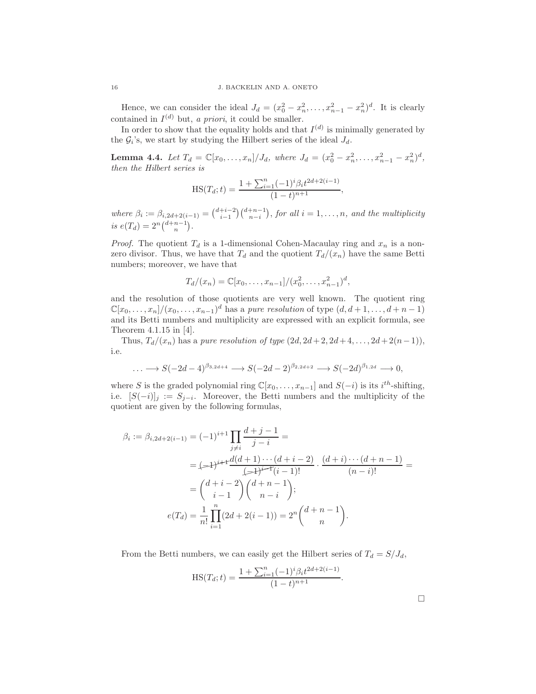Hence, we can consider the ideal  $J_d = (x_0^2 - x_n^2, \dots, x_{n-1}^2 - x_n^2)^d$ . It is clearly contained in  $I^{(d)}$  but, *a priori*, it could be smaller.

In order to show that the equality holds and that  $I^{(d)}$  is minimally generated by the  $G_i$ 's, we start by studying the Hilbert series of the ideal  $J_d$ .

**Lemma 4.4.** Let  $T_d = \mathbb{C}[x_0, \ldots, x_n]/J_d$ , where  $J_d = (x_0^2 - x_n^2, \ldots, x_{n-1}^2 - x_n^2)^d$ , *then the Hilbert series is*

$$
HS(T_d; t) = \frac{1 + \sum_{i=1}^{n} (-1)^i \beta_i t^{2d + 2(i-1)}}{(1 - t)^{n+1}},
$$

where  $\beta_i := \beta_{i,2d+2(i-1)} = {d+i-2 \choose i-1} {d+n-1 \choose n-i}$ , for all  $i = 1, ..., n$ , and the multiplicity is  $e(T_d) = 2^n {d+n-1 \choose n}$ .

*Proof.* The quotient  $T_d$  is a 1-dimensional Cohen-Macaulay ring and  $x_n$  is a nonzero divisor. Thus, we have that  $T_d$  and the quotient  $T_d/(x_n)$  have the same Betti numbers; moreover, we have that

$$
T_d/(x_n) = \mathbb{C}[x_0, \dots, x_{n-1}]/(x_0^2, \dots, x_{n-1}^2)^d,
$$

and the resolution of those quotients are very well known. The quotient ring  $\mathbb{C}[x_0,\ldots,x_n]/(x_0,\ldots,x_{n-1})^d$  has a *pure resolution* of type  $(d, d+1,\ldots,d+n-1)$ and its Betti numbers and multiplicity are expressed with an explicit formula, see Theorem 4.1.15 in [4].

Thus,  $T_d/(x_n)$  has a *pure resolution of type*  $(2d, 2d+2, 2d+4, ..., 2d+2(n-1)),$ i.e.

$$
\ldots \longrightarrow S(-2d-4)^{\beta_{3,2d+4}} \longrightarrow S(-2d-2)^{\beta_{2,2d+2}} \longrightarrow S(-2d)^{\beta_{1,2d}} \longrightarrow 0,
$$

where S is the graded polynomial ring  $\mathbb{C}[x_0, \ldots, x_{n-1}]$  and  $S(-i)$  is its  $i^{th}$ -shifting, i.e.  $[S(-i)]_j := S_{j-i}$ . Moreover, the Betti numbers and the multiplicity of the quotient are given by the following formulas,

$$
\beta_i := \beta_{i,2d+2(i-1)} = (-1)^{i+1} \prod_{j \neq i} \frac{d+j-1}{j-i} =
$$
\n
$$
= (-1)^{i+1} \frac{d(d+1)\cdots(d+i-2)}{(j+1)^{i-1}i} \cdot \frac{(d+i)\cdots(d+n-1)}{(n-i)!} =
$$
\n
$$
= \binom{d+i-2}{i-1} \binom{d+n-1}{n-i};
$$
\n
$$
e(T_d) = \frac{1}{n!} \prod_{i=1}^n (2d+2(i-1)) = 2^n \binom{d+n-1}{n}.
$$

From the Betti numbers, we can easily get the Hilbert series of  $T_d = S/J_d$ ,

$$
HS(T_d; t) = \frac{1 + \sum_{i=1}^{n} (-1)^i \beta_i t^{2d + 2(i-1)}}{(1 - t)^{n+1}}.
$$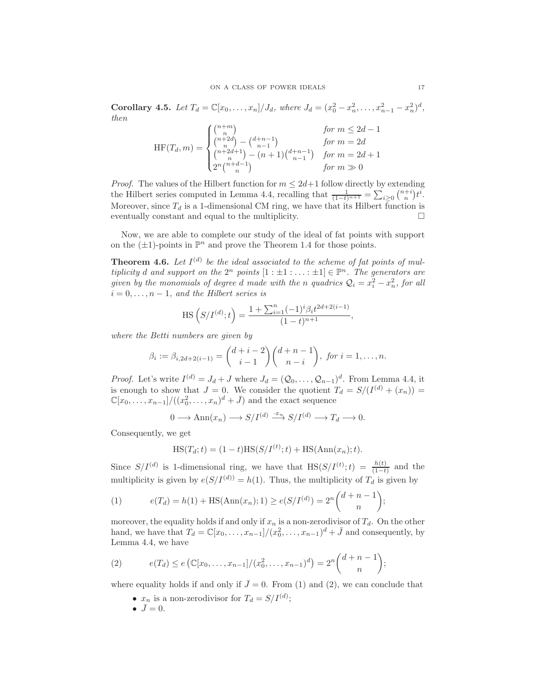**Corollary 4.5.** Let  $T_d = \mathbb{C}[x_0, \ldots, x_n]/J_d$ , where  $J_d = (x_0^2 - x_n^2, \ldots, x_{n-1}^2 - x_n^2)^d$ , *then*

$$
\text{HF}(T_d, m) = \begin{cases} {n+m \choose n} & \text{for } m \le 2d - 1 \\ {n+2d \choose n} - {d+n-1 \choose n-1} & \text{for } m = 2d \\ {n+2d+1 \choose n} - (n+1){d+n-1 \choose n-1} & \text{for } m = 2d + 1 \\ 2^n {n+d-1 \choose n} & \text{for } m \gg 0 \end{cases}
$$

*Proof.* The values of the Hilbert function for  $m \leq 2d+1$  follow directly by extending the Hilbert series computed in Lemma 4.4, recalling that  $\frac{1}{(1-t)^{n+1}} = \sum_{i\geq 0} {n+i \choose n} t^i$ . Moreover, since  $T_d$  is a 1-dimensional CM ring, we have that its Hilbert function is eventually constant and equal to the multiplicity.

Now, we are able to complete our study of the ideal of fat points with support on the  $(\pm 1)$ -points in  $\mathbb{P}^n$  and prove the Theorem 1.4 for those points.

**Theorem 4.6.** Let  $I^{(d)}$  be the ideal associated to the scheme of fat points of mul*tiplicity* d and support on the  $2^n$  points  $[1 : \pm 1 : \ldots : \pm 1] \in \mathbb{P}^n$ . The generators are *given by the monomials of degree d made with the n quadrics*  $Q_i = x_i^2 - x_n^2$ , for all  $i = 0, \ldots, n - 1$ , and the Hilbert series is

$$
\mathrm{HS}\left(S/I^{(d)};t\right) = \frac{1 + \sum_{i=1}^{n} (-1)^i \beta_i t^{2d+2(i-1)}}{(1-t)^{n+1}},
$$

*where the Betti numbers are given by*

$$
\beta_i := \beta_{i,2d+2(i-1)} = {d+i-2 \choose i-1} {d+n-1 \choose n-i}, \text{ for } i = 1,\ldots,n.
$$

*Proof.* Let's write  $I^{(d)} = J_d + J$  where  $J_d = (Q_0, \ldots, Q_{n-1})^d$ . From Lemma 4.4, it is enough to show that  $J = 0$ . We consider the quotient  $T_d = S/(I^{(d)} + (x_n)) =$  $\mathbb{C}[x_0,\ldots,x_{n-1}]/((x_0^2,\ldots,x_n)^d+\bar{J})$  and the exact sequence

$$
0 \longrightarrow \text{Ann}(x_n) \longrightarrow S/I^{(d)} \xrightarrow{\cdot x_n} S/I^{(d)} \longrightarrow T_d \longrightarrow 0.
$$

Consequently, we get

$$
HS(T_d; t) = (1 - t)HS(S/I^{(t)}; t) + HS(Ann(x_n); t).
$$

Since  $S/I^{(d)}$  is 1-dimensional ring, we have that  $\text{HS}(S/I^{(t)};t) = \frac{h(t)}{(1-t)}$  and the multiplicity is given by  $e(S/I^{(d)}) = h(1)$ . Thus, the multiplicity of  $T_d$  is given by

(1) 
$$
e(T_d) = h(1) + \text{HS}(\text{Ann}(x_n); 1) \ge e(S/I^{(d)}) = 2^n {d+n-1 \choose n};
$$

moreover, the equality holds if and only if  $x_n$  is a non-zerodivisor of  $T_d$ . On the other hand, we have that  $T_d = \mathbb{C}[x_0, \ldots, x_{n-1}]/(x_0^2, \ldots, x_{n-1})^d + \bar{J}$  and consequently, by Lemma 4.4, we have

(2) 
$$
e(T_d) \le e\left(\mathbb{C}[x_0,\ldots,x_{n-1}]/(x_0^2,\ldots,x_{n-1})^d\right) = 2^n {d+n-1 \choose n};
$$

where equality holds if and only if  $\bar{J}=0$ . From (1) and (2), we can conclude that

- $x_n$  is a non-zerodivisor for  $T_d = S/I^{(d)}$ ;
- $\bar{J}=0$ .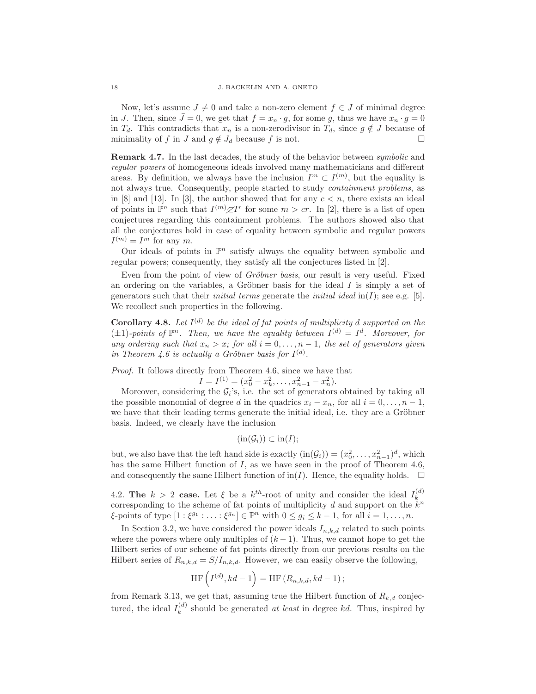Now, let's assume  $J \neq 0$  and take a non-zero element  $f \in J$  of minimal degree in J. Then, since  $\bar{J}=0$ , we get that  $f=x_n\cdot g$ , for some g, thus we have  $x_n\cdot g=0$ in  $T_d$ . This contradicts that  $x_n$  is a non-zerodivisor in  $T_d$ , since  $g \notin J$  because of minimality of f in J and  $g \notin J_d$  because f is not.

Remark 4.7. In the last decades, the study of the behavior between *symbolic* and *regular powers* of homogeneous ideals involved many mathematicians and different areas. By definition, we always have the inclusion  $I^m \subset I^{(m)}$ , but the equality is not always true. Consequently, people started to study *containment problems*, as in  $[8]$  and  $[13]$ . In  $[3]$ , the author showed that for any  $c < n$ , there exists an ideal of points in  $\mathbb{P}^n$  such that  $I^{(m)}\mathcal{Z}I^r$  for some  $m > cr$ . In [2], there is a list of open conjectures regarding this containment problems. The authors showed also that all the conjectures hold in case of equality between symbolic and regular powers  $I^{(m)} = I^m$  for any m.

Our ideals of points in  $\mathbb{P}^n$  satisfy always the equality between symbolic and regular powers; consequently, they satisfy all the conjectures listed in [2].

Even from the point of view of *Gröbner basis*, our result is very useful. Fixed an ordering on the variables, a Gröbner basis for the ideal  $I$  is simply a set of generators such that their *initial terms* generate the *initial ideal*  $\text{in}(I)$ ; see e.g. [5]. We recollect such properties in the following.

**Corollary 4.8.** Let  $I^{(d)}$  be the ideal of fat points of multiplicity d supported on the  $(\pm 1)$ *-points of*  $\mathbb{P}^n$ *. Then, we have the equality between*  $I^{(d)} = I^d$ *. Moreover, for any ordering such that*  $x_n > x_i$  *for all*  $i = 0, \ldots, n - 1$ *, the set of generators given in Theorem 4.6 is actually a Gröbner basis for*  $I^{(d)}$ *.* 

*Proof.* It follows directly from Theorem 4.6, since we have that

$$
I = I^{(1)} = (x_0^2 - x_k^2, \dots, x_{n-1}^2 - x_n^2).
$$

Moreover, considering the  $G_i$ 's, i.e. the set of generators obtained by taking all the possible monomial of degree d in the quadrics  $x_i - x_n$ , for all  $i = 0, \ldots, n-1$ , we have that their leading terms generate the initial ideal, i.e. they are a Gröbner basis. Indeed, we clearly have the inclusion

$$
(\operatorname{in}(\mathcal{G}_i)) \subset \operatorname{in}(I);
$$

but, we also have that the left hand side is exactly  $(in(\mathcal{G}_i)) = (x_0^2, \ldots, x_{n-1}^2)^d$ , which has the same Hilbert function of I, as we have seen in the proof of Theorem 4.6, and consequently the same Hilbert function of  $\text{in}(I)$ . Hence, the equality holds.  $\Box$ 

4.2. The  $k > 2$  case. Let  $\xi$  be a  $k^{th}$ -root of unity and consider the ideal  $I_k^{(d)}$ corresponding to the scheme of fat points of multiplicity d and support on the  $k^n$  $\xi$ -points of type  $[1:\xi^{g_1}:\ldots:\xi^{g_n}]\in\mathbb{P}^n$  with  $0\leq g_i\leq k-1$ , for all  $i=1,\ldots,n$ .

In Section 3.2, we have considered the power ideals  $I_{n,k,d}$  related to such points where the powers where only multiples of  $(k-1)$ . Thus, we cannot hope to get the Hilbert series of our scheme of fat points directly from our previous results on the Hilbert series of  $R_{n,k,d} = S/I_{n,k,d}$ . However, we can easily observe the following,

$$
\mathrm{HF}\left(I^{(d)}, kd-1\right)=\mathrm{HF}\left(R_{n,k,d}, kd-1\right);
$$

from Remark 3.13, we get that, assuming true the Hilbert function of  $R_{k,d}$  conjectured, the ideal  $I_k^{(d)}$  $k_k^{(a)}$  should be generated *at least* in degree *kd*. Thus, inspired by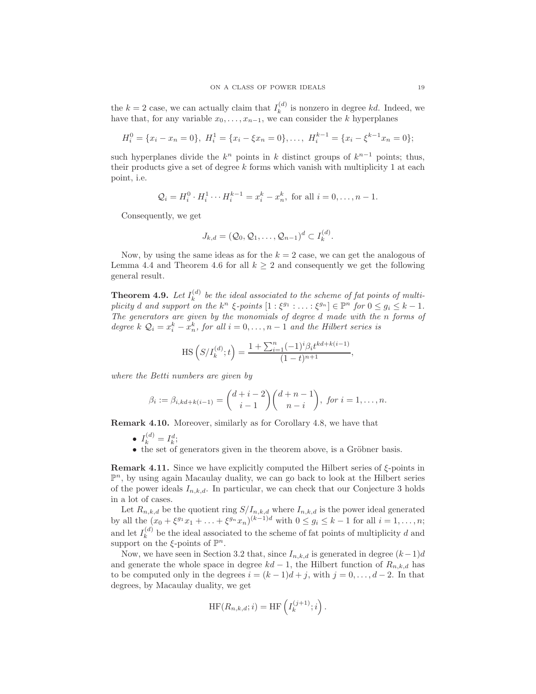the  $k = 2$  case, we can actually claim that  $I_k^{(d)}$  is nonzero in degree kd. Indeed, we have that, for any variable  $x_0, \ldots, x_{n-1}$ , we can consider the k hyperplanes

$$
H_i^0 = \{x_i - x_n = 0\}, \ H_i^1 = \{x_i - \xi x_n = 0\}, \ldots, \ H_i^{k-1} = \{x_i - \xi^{k-1} x_n = 0\};
$$

such hyperplanes divide the  $k^n$  points in k distinct groups of  $k^{n-1}$  points; thus, their products give a set of degree  $k$  forms which vanish with multiplicity 1 at each point, i.e.

$$
Q_i = H_i^0 \cdot H_i^1 \cdots H_i^{k-1} = x_i^k - x_n^k
$$
, for all  $i = 0, ..., n-1$ .

Consequently, we get

$$
J_{k,d}=(\mathcal{Q}_0,\mathcal{Q}_1,\ldots,\mathcal{Q}_{n-1})^d\subset I_k^{(d)}.
$$

Now, by using the same ideas as for the  $k = 2$  case, we can get the analogous of Lemma 4.4 and Theorem 4.6 for all  $k \geq 2$  and consequently we get the following general result.

**Theorem 4.9.** Let  $I_k^{(d)}$  be the ideal associated to the scheme of fat points of multi*plicity* d and support on the  $k^n \xi$ -points  $[1:\xi^{g_1} : \ldots : \xi^{g_n}] \in \mathbb{P}^n$  for  $0 \le g_i \le k-1$ . *The generators are given by the monomials of degree* d *made with the* n *forms of degree*  $k \mathcal{Q}_i = x_i^k - x_n^k$ , for all  $i = 0, ..., n-1$  and the Hilbert series is

$$
\mathrm{HS}\left(S/I_{k}^{(d)};t\right) = \frac{1 + \sum_{i=1}^{n} (-1)^{i} \beta_{i} t^{kd + k(i-1)}}{(1-t)^{n+1}},
$$

*where the Betti numbers are given by*

$$
\beta_i := \beta_{i, kd + k(i-1)} = {d + i - 2 \choose i - 1} {d + n - 1 \choose n - i}, \text{ for } i = 1, ..., n.
$$

Remark 4.10. Moreover, similarly as for Corollary 4.8, we have that

- $I_k^{(d)} = I_k^d;$
- the set of generators given in the theorem above, is a Gröbner basis.

**Remark 4.11.** Since we have explicitly computed the Hilbert series of  $\xi$ -points in  $\mathbb{P}^n$ , by using again Macaulay duality, we can go back to look at the Hilbert series of the power ideals  $I_{n,k,d}$ . In particular, we can check that our Conjecture 3 holds in a lot of cases.

Let  $R_{n,k,d}$  be the quotient ring  $S/I_{n,k,d}$  where  $I_{n,k,d}$  is the power ideal generated by all the  $(x_0 + \xi^{g_1} x_1 + ... + \xi^{g_n} x_n)^{(k-1)d}$  with  $0 \le g_i \le k-1$  for all  $i = 1, ..., n$ ; and let  $I_k^{(d)}$  be the ideal associated to the scheme of fat points of multiplicity d and support on the  $\xi$ -points of  $\mathbb{P}^n$ .

Now, we have seen in Section 3.2 that, since  $I_{n,k,d}$  is generated in degree  $(k-1)d$ and generate the whole space in degree  $kd-1$ , the Hilbert function of  $R_{n,k,d}$  has to be computed only in the degrees  $i = (k-1)d+j$ , with  $j = 0, \ldots, d-2$ . In that degrees, by Macaulay duality, we get

$$
HF(R_{n,k,d};i) = HF\left(I_k^{(j+1)};i\right).
$$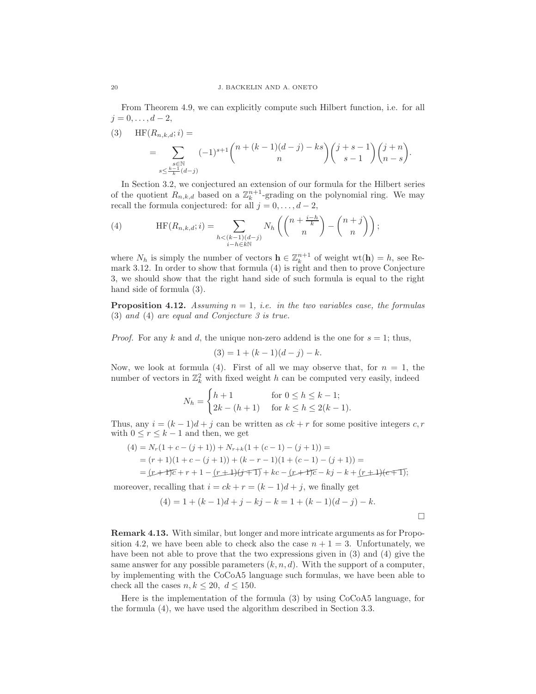From Theorem 4.9, we can explicitly compute such Hilbert function, i.e. for all  $j = 0, \ldots, d - 2,$ 

(3) HF(
$$
R_{n,k,d}
$$
;  $i$ ) =  
\n
$$
= \sum_{\substack{s \in \mathbb{N} \\ s \leq \frac{k-1}{k}(d-j)}} (-1)^{s+1} {n+(k-1)(d-j)-ks \choose n} {j+s-1 \choose s-1} {j+n \choose n-s}.
$$

In Section 3.2, we conjectured an extension of our formula for the Hilbert series of the quotient  $R_{n,k,d}$  based on a  $\mathbb{Z}_k^{n+1}$ -grading on the polynomial ring. We may recall the formula conjectured: for all  $j = 0, \ldots, d - 2$ ,

(4) 
$$
\text{HF}(R_{n,k,d};i) = \sum_{\substack{h \le (k-1)(d-j) \\ i-h \in k\mathbb{N}}} N_h \left( \binom{n+\frac{i-h}{k}}{n} - \binom{n+j}{n} \right);
$$

where  $N_h$  is simply the number of vectors  $\mathbf{h} \in \mathbb{Z}_k^{n+1}$  of weight  $\text{wt}(\mathbf{h}) = h$ , see Remark 3.12. In order to show that formula (4) is right and then to prove Conjecture 3, we should show that the right hand side of such formula is equal to the right hand side of formula (3).

**Proposition 4.12.** *Assuming*  $n = 1$ *, i.e. in the two variables case, the formulas* (3) *and* (4) *are equal and Conjecture 3 is true.*

*Proof.* For any k and d, the unique non-zero addend is the one for  $s = 1$ ; thus,

$$
(3) = 1 + (k - 1)(d - j) - k.
$$

Now, we look at formula (4). First of all we may observe that, for  $n = 1$ , the number of vectors in  $\mathbb{Z}_k^2$  with fixed weight h can be computed very easily, indeed

$$
N_h = \begin{cases} h+1 & \text{for } 0 \le h \le k-1; \\ 2k - (h+1) & \text{for } k \le h \le 2(k-1). \end{cases}
$$

Thus, any  $i = (k-1)d+j$  can be written as  $ck + r$  for some positive integers c, r with  $0\leq r\leq k-1$  and then, we get

$$
(4) = N_r(1 + c - (j + 1)) + N_{r+k}(1 + (c - 1) - (j + 1)) =
$$
  
=  $(r + 1)(1 + c - (j + 1)) + (k - r - 1)(1 + (c - 1) - (j + 1)) =$   
=  $(r + 1)\overline{c} + r + 1 - (r + 1)(j + 1) + kc - (r + 1)\overline{c} - kj - k + (r + 1)(\overline{c} + 1);$ 

moreover, recalling that  $i = ck + r = (k-1)d + j$ , we finally get

$$
(4) = 1 + (k - 1)d + j - kj - k = 1 + (k - 1)(d - j) - k.
$$

 $\Box$ 

Remark 4.13. With similar, but longer and more intricate arguments as for Proposition 4.2, we have been able to check also the case  $n + 1 = 3$ . Unfortunately, we have been not able to prove that the two expressions given in (3) and (4) give the same answer for any possible parameters  $(k, n, d)$ . With the support of a computer, by implementing with the CoCoA5 language such formulas, we have been able to check all the cases  $n, k \leq 20, d \leq 150$ .

Here is the implementation of the formula (3) by using CoCoA5 language, for the formula (4), we have used the algorithm described in Section 3.3.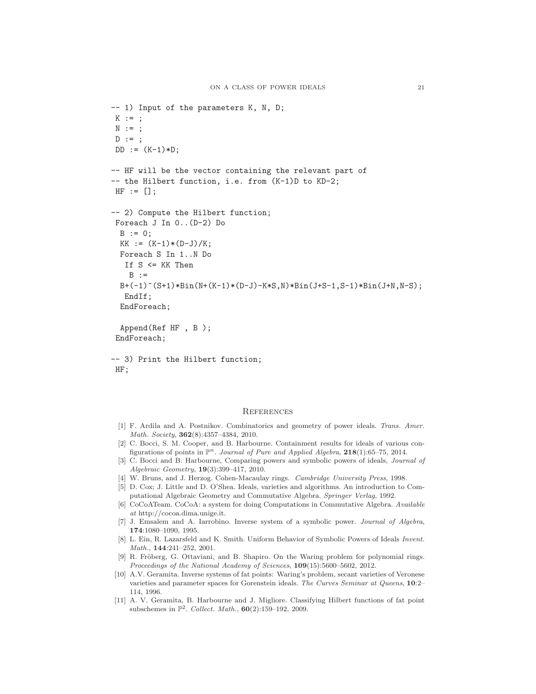```
-- 1) Input of the parameters K, N, D;
K := ;N : = ;
D := ;DD := (K-1)*D;-- HF will be the vector containing the relevant part of
-- the Hilbert function, i.e. from (K-1)D to KD-2;
HF := [];
-- 2) Compute the Hilbert function;
Foreach J In 0..(D-2) Do
 B := 0:
 KK := (K-1)*(D-J)/K;Foreach S In 1..N Do
  If S <= KK Then
   B : =B+(-1)^*(S+1)*Bin(N+(K-1)*(D-J)-K*S,N)*Bin(J+S-1,S-1)*Bin(J+N,N-S);EndIf;
  EndForeach;
  Append(Ref HF , B );
 EndForeach;
-- 3) Print the Hilbert function;
HF;
```
#### **REFERENCES**

- [1] F. Ardila and A. Postnikov. Combinatorics and geometry of power ideals. Trans. Amer. Math. Society, 362(8):4357–4384, 2010.
- [2] C. Bocci, S. M. Cooper, and B. Harbourne. Containment results for ideals of various configurations of points in  $\mathbb{P}^n$ . Journal of Pure and Applied Algebra, 218(1):65–75, 2014.
- [3] C. Bocci and B. Harbourne, Comparing powers and symbolic powers of ideals, Journal of Algebraic Geometry, 19(3):399–417, 2010.
- [4] W. Bruns, and J. Herzog. Cohen-Macaulay rings. Cambridge University Press, 1998.
- [5] D. Cox; J. Little and D. O'Shea. Ideals, varieties and algorithms. An introduction to Computational Algebraic Geometry and Commutative Algebra. Springer Verlag, 1992.
- [6] CoCoATeam. CoCoA: a system for doing Computations in Commutative Algebra. Available at http://cocoa.dima.unige.it.
- [7] J. Emsalem and A. Iarrobino. Inverse system of a symbolic power. Journal of Algebra, 174:1080–1090, 1995.
- [8] L. Ein, R. Lazarsfeld and K. Smith. Uniform Behavior of Symbolic Powers of Ideals Invent. Math., 144:241–252, 2001.
- [9] R. Fröberg, G. Ottaviani, and B. Shapiro. On the Waring problem for polynomial rings. Proceedings of the National Academy of Sciences, 109(15):5600–5602, 2012.
- [10] A.V. Geramita. Inverse systems of fat points: Waring's problem, secant varieties of Veronese varieties and parameter spaces for Gorenstein ideals. The Curves Seminar at Queens, 10:2– 114, 1996.
- [11] A. V. Geramita, B. Harbourne and J. Migliore. Classifying Hilbert functions of fat point subschemes in  $\mathbb{P}^2$ . Collect. Math.,  $60(2):159-192$ , 2009.